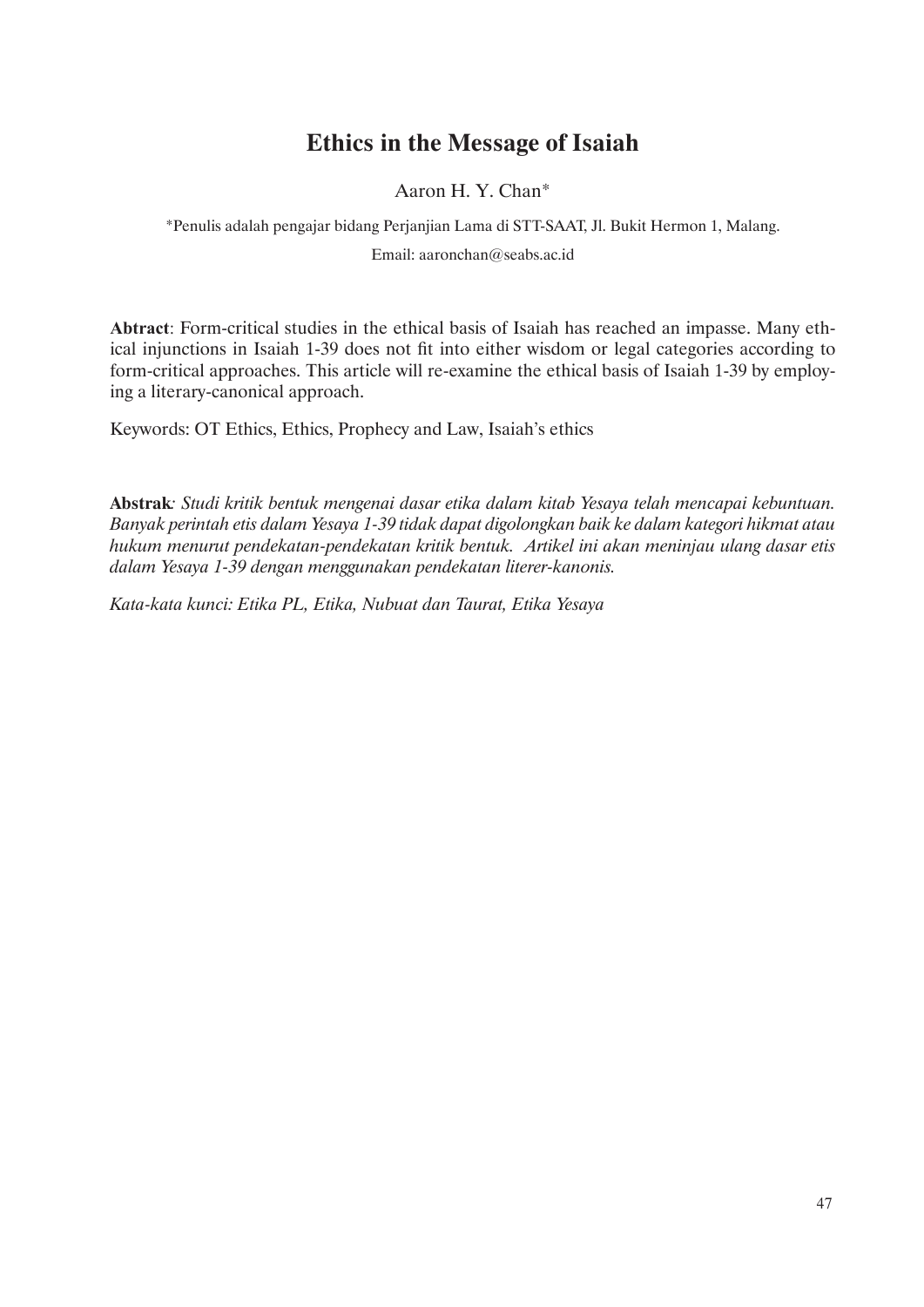# **Ethics in the Message of Isaiah**

Aaron H. Y. Chan\*

\*Penulis adalah pengajar bidang Perjanjian Lama di STT-SAAT, Jl. Bukit Hermon 1, Malang. Email: aaronchan@seabs.ac.id

**Abtract**: Form-critical studies in the ethical basis of Isaiah has reached an impasse. Many ethical injunctions in Isaiah 1-39 does not fit into either wisdom or legal categories according to form-critical approaches. This article will re-examine the ethical basis of Isaiah 1-39 by employing a literary-canonical approach.

Keywords: OT Ethics, Ethics, Prophecy and Law, Isaiah's ethics

**Abstrak***: Studi kritik bentuk mengenai dasar etika dalam kitab Yesaya telah mencapai kebuntuan. Banyak perintah etis dalam Yesaya 1-39 tidak dapat digolongkan baik ke dalam kategori hikmat atau hukum menurut pendekatan-pendekatan kritik bentuk. Artikel ini akan meninjau ulang dasar etis dalam Yesaya 1-39 dengan menggunakan pendekatan literer-kanonis.*

*Kata-kata kunci: Etika PL, Etika, Nubuat dan Taurat, Etika Yesaya*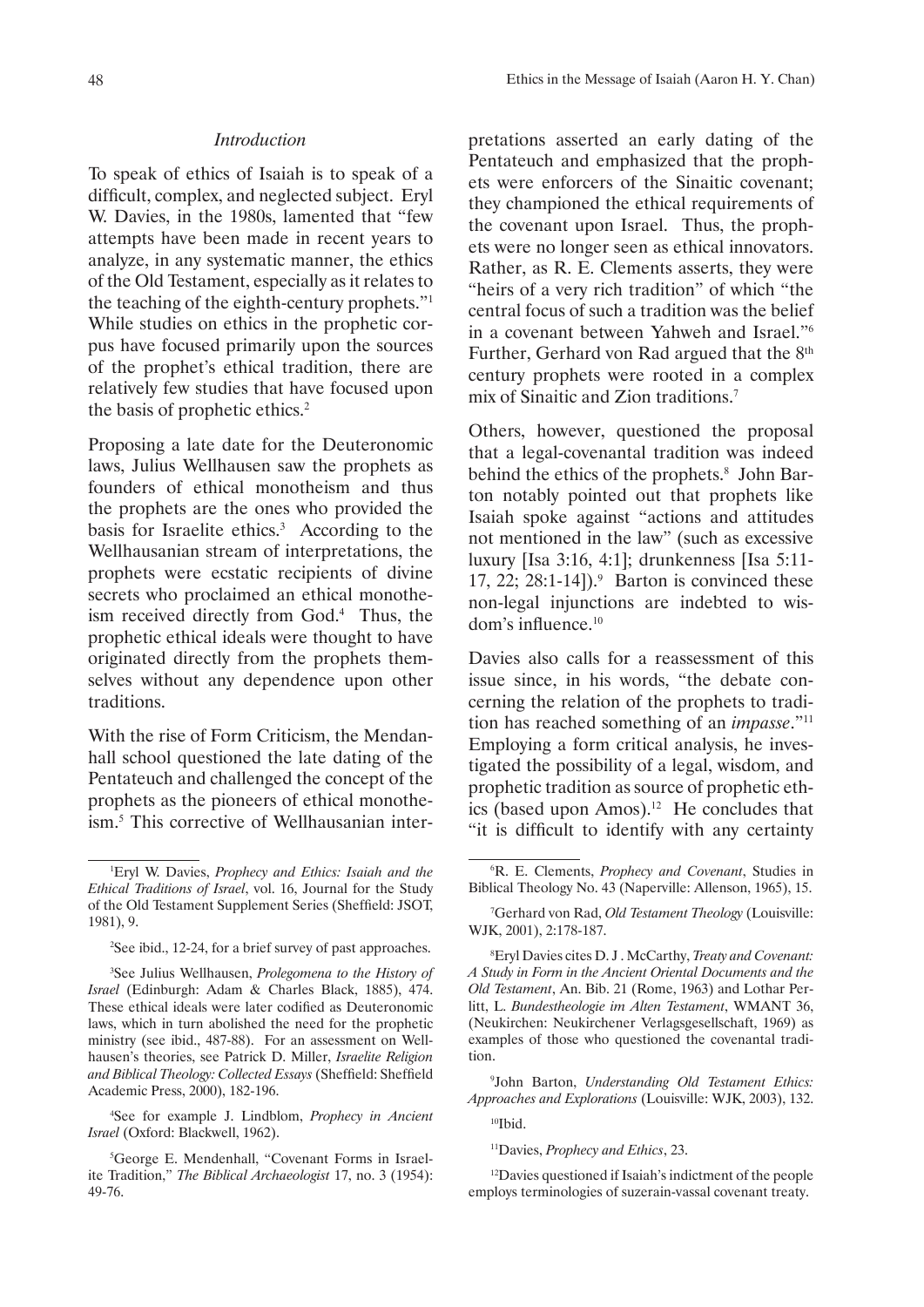### *Introduction*

To speak of ethics of Isaiah is to speak of a difficult, complex, and neglected subject. Eryl W. Davies, in the 1980s, lamented that "few attempts have been made in recent years to analyze, in any systematic manner, the ethics of the Old Testament, especially as it relates to the teaching of the eighth-century prophets."1 While studies on ethics in the prophetic corpus have focused primarily upon the sources of the prophet's ethical tradition, there are relatively few studies that have focused upon the basis of prophetic ethics.<sup>2</sup>

Proposing a late date for the Deuteronomic laws, Julius Wellhausen saw the prophets as founders of ethical monotheism and thus the prophets are the ones who provided the basis for Israelite ethics.<sup>3</sup> According to the Wellhausanian stream of interpretations, the prophets were ecstatic recipients of divine secrets who proclaimed an ethical monotheism received directly from God.<sup>4</sup> Thus, the prophetic ethical ideals were thought to have originated directly from the prophets themselves without any dependence upon other traditions.

With the rise of Form Criticism, the Mendanhall school questioned the late dating of the Pentateuch and challenged the concept of the prophets as the pioneers of ethical monotheism.<sup>5</sup> This corrective of Wellhausanian inter-

4 See for example J. Lindblom, *Prophecy in Ancient Israel* (Oxford: Blackwell, 1962).

pretations asserted an early dating of the Pentateuch and emphasized that the prophets were enforcers of the Sinaitic covenant; they championed the ethical requirements of the covenant upon Israel. Thus, the prophets were no longer seen as ethical innovators. Rather, as R. E. Clements asserts, they were "heirs of a very rich tradition" of which "the central focus of such a tradition was the belief in a covenant between Yahweh and Israel."<sup>6</sup> Further, Gerhard von Rad argued that the 8<sup>th</sup> century prophets were rooted in a complex mix of Sinaitic and Zion traditions.<sup>7</sup>

Others, however, questioned the proposal that a legal-covenantal tradition was indeed behind the ethics of the prophets.<sup>8</sup> John Barton notably pointed out that prophets like Isaiah spoke against "actions and attitudes not mentioned in the law" (such as excessive luxury [Isa 3:16, 4:1]; drunkenness [Isa 5:11- 17, 22; 28:1-14]). $9$  Barton is convinced these non-legal injunctions are indebted to wisdom's influence.<sup>10</sup>

Davies also calls for a reassessment of this issue since, in his words, "the debate concerning the relation of the prophets to tradition has reached something of an *impasse*."11 Employing a form critical analysis, he investigated the possibility of a legal, wisdom, and prophetic tradition as source of prophetic ethics (based upon Amos).12 He concludes that "it is difficult to identify with any certainty

9 John Barton, *Understanding Old Testament Ethics: Approaches and Explorations* (Louisville: WJK, 2003), 132.

 $10$ Ibid.

11Davies, *Prophecy and Ethics*, 23.

<sup>12</sup>Davies questioned if Isaiah's indictment of the people employs terminologies of suzerain-vassal covenant treaty.

<sup>1</sup> Eryl W. Davies, *Prophecy and Ethics: Isaiah and the Ethical Traditions of Israel*, vol. 16, Journal for the Study of the Old Testament Supplement Series (Sheffield: JSOT, 1981), 9.

<sup>2</sup> See ibid., 12-24, for a brief survey of past approaches.

<sup>3</sup> See Julius Wellhausen, *Prolegomena to the History of Israel* (Edinburgh: Adam & Charles Black, 1885), 474. These ethical ideals were later codified as Deuteronomic laws, which in turn abolished the need for the prophetic ministry (see ibid., 487-88). For an assessment on Wellhausen's theories, see Patrick D. Miller, *Israelite Religion and Biblical Theology: Collected Essays* (Sheffield: Sheffield Academic Press, 2000), 182-196.

<sup>5</sup> George E. Mendenhall, "Covenant Forms in Israelite Tradition," *The Biblical Archaeologist* 17, no. 3 (1954): 49-76.

<sup>6</sup> R. E. Clements, *Prophecy and Covenant*, Studies in Biblical Theology No. 43 (Naperville: Allenson, 1965), 15.

<sup>7</sup> Gerhard von Rad, *Old Testament Theology* (Louisville: WJK, 2001), 2:178-187.

<sup>8</sup> Eryl Davies cites D. J . McCarthy, *Treaty and Covenant: A Study in Form in the Ancient Oriental Documents and the Old Testament*, An. Bib. 21 (Rome, 1963) and Lothar Perlitt, L. *Bundestheologie im Alten Testament*, WMANT 36, (Neukirchen: Neukirchener Verlagsgesellschaft, 1969) as examples of those who questioned the covenantal tradition.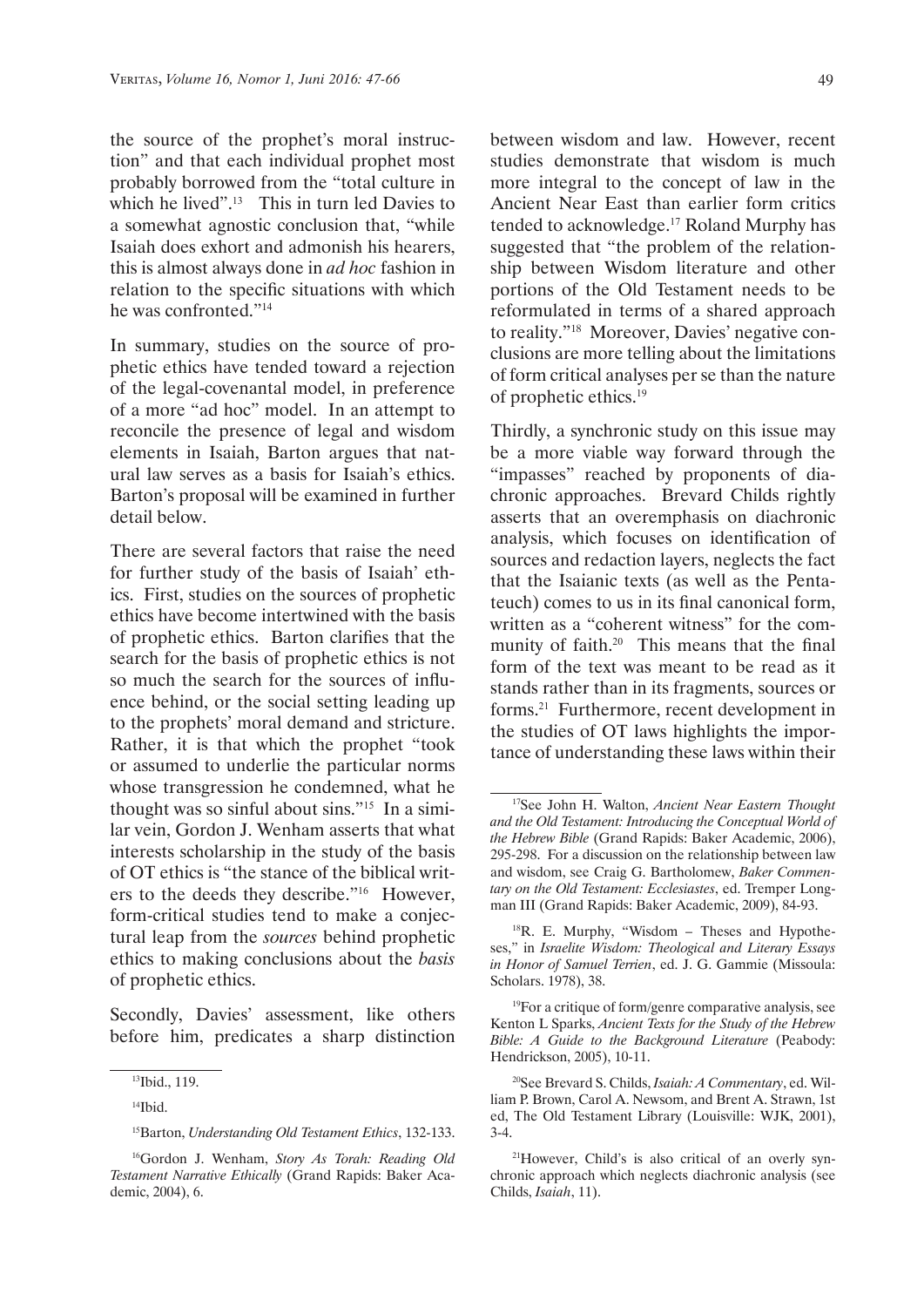the source of the prophet's moral instruction" and that each individual prophet most probably borrowed from the "total culture in which he lived".<sup>13</sup> This in turn led Davies to a somewhat agnostic conclusion that, "while Isaiah does exhort and admonish his hearers, this is almost always done in *ad hoc* fashion in relation to the specific situations with which he was confronted."14

In summary, studies on the source of prophetic ethics have tended toward a rejection of the legal-covenantal model, in preference of a more "ad hoc" model. In an attempt to reconcile the presence of legal and wisdom elements in Isaiah, Barton argues that natural law serves as a basis for Isaiah's ethics. Barton's proposal will be examined in further detail below.

There are several factors that raise the need for further study of the basis of Isaiah' ethics. First, studies on the sources of prophetic ethics have become intertwined with the basis of prophetic ethics. Barton clarifies that the search for the basis of prophetic ethics is not so much the search for the sources of influence behind, or the social setting leading up to the prophets' moral demand and stricture. Rather, it is that which the prophet "took or assumed to underlie the particular norms whose transgression he condemned, what he thought was so sinful about sins."15 In a similar vein, Gordon J. Wenham asserts that what interests scholarship in the study of the basis of OT ethics is "the stance of the biblical writers to the deeds they describe."16 However, form-critical studies tend to make a conjectural leap from the *sources* behind prophetic ethics to making conclusions about the *basis* of prophetic ethics.

Secondly, Davies' assessment, like others before him, predicates a sharp distinction between wisdom and law. However, recent studies demonstrate that wisdom is much more integral to the concept of law in the Ancient Near East than earlier form critics tended to acknowledge.17 Roland Murphy has suggested that "the problem of the relationship between Wisdom literature and other portions of the Old Testament needs to be reformulated in terms of a shared approach to reality."18 Moreover, Davies' negative conclusions are more telling about the limitations of form critical analyses per se than the nature of prophetic ethics.<sup>19</sup>

Thirdly, a synchronic study on this issue may be a more viable way forward through the "impasses" reached by proponents of diachronic approaches. Brevard Childs rightly asserts that an overemphasis on diachronic analysis, which focuses on identification of sources and redaction layers, neglects the fact that the Isaianic texts (as well as the Pentateuch) comes to us in its final canonical form, written as a "coherent witness" for the community of faith.<sup>20</sup> This means that the final form of the text was meant to be read as it stands rather than in its fragments, sources or forms.21 Furthermore, recent development in the studies of OT laws highlights the importance of understanding these laws within their

19For a critique of form/genre comparative analysis, see Kenton L Sparks, *Ancient Texts for the Study of the Hebrew Bible: A Guide to the Background Literature* (Peabody: Hendrickson, 2005), 10-11.

<sup>13</sup>Ibid., 119.

<sup>14</sup>Ibid.

<sup>15</sup>Barton, *Understanding Old Testament Ethics*, 132-133.

<sup>16</sup>Gordon J. Wenham, *Story As Torah: Reading Old Testament Narrative Ethically* (Grand Rapids: Baker Academic, 2004), 6.

<sup>17</sup>See John H. Walton, *Ancient Near Eastern Thought and the Old Testament: Introducing the Conceptual World of the Hebrew Bible* (Grand Rapids: Baker Academic, 2006), 295-298. For a discussion on the relationship between law and wisdom, see Craig G. Bartholomew, *Baker Commentary on the Old Testament: Ecclesiastes*, ed. Tremper Longman III (Grand Rapids: Baker Academic, 2009), 84-93.

<sup>18</sup>R. E. Murphy, "Wisdom – Theses and Hypotheses," in *Israelite Wisdom: Theological and Literary Essays in Honor of Samuel Terrien*, ed. J. G. Gammie (Missoula: Scholars. 1978), 38.

<sup>20</sup>See Brevard S. Childs, *Isaiah: A Commentary*, ed. William P. Brown, Carol A. Newsom, and Brent A. Strawn, 1st ed, The Old Testament Library (Louisville: WJK, 2001), 3-4.

<sup>21</sup>However, Child's is also critical of an overly synchronic approach which neglects diachronic analysis (see Childs, *Isaiah*, 11).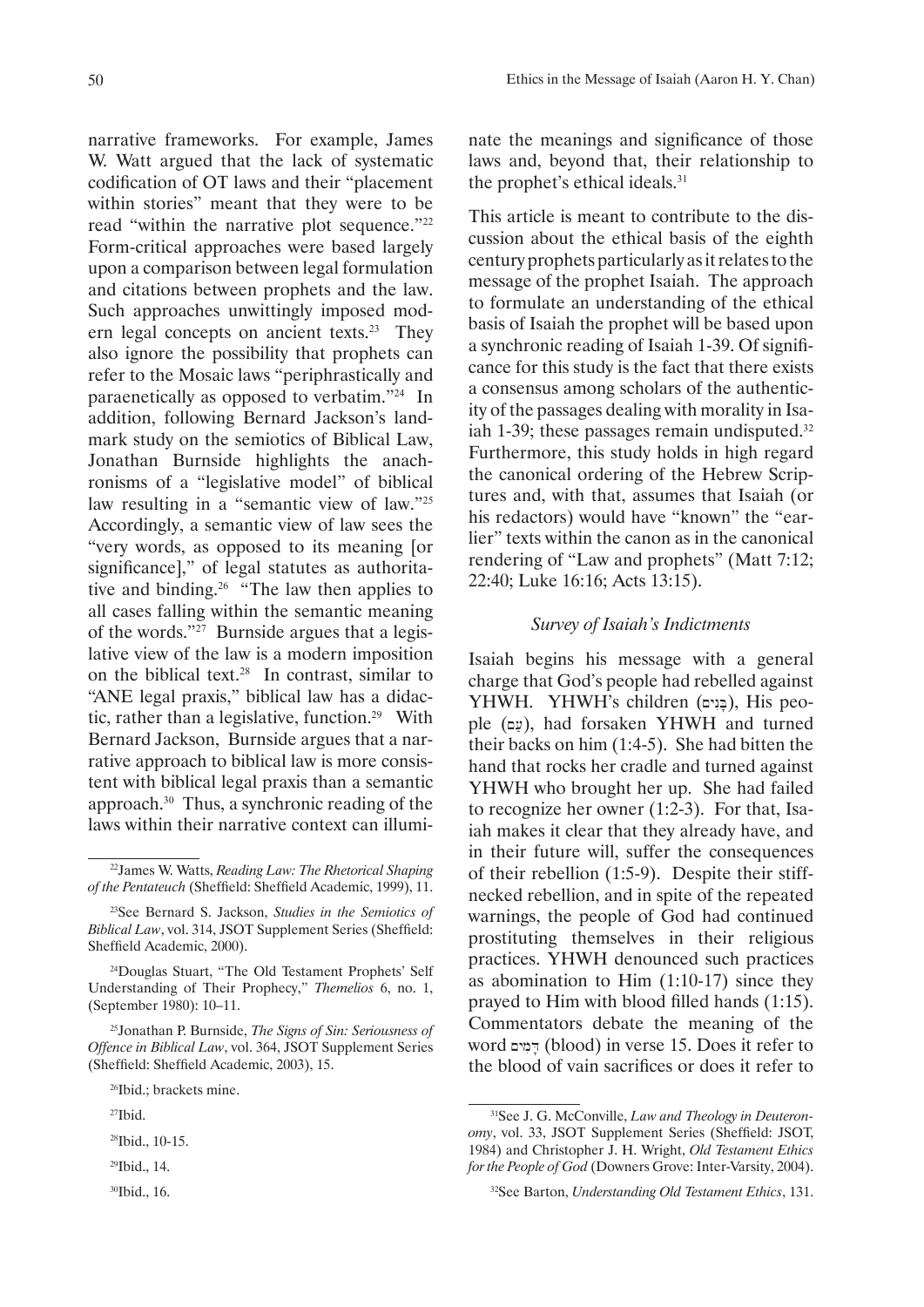narrative frameworks. For example, James W. Watt argued that the lack of systematic codification of OT laws and their "placement within stories" meant that they were to be read "within the narrative plot sequence."<sup>22</sup> Form-critical approaches were based largely upon a comparison between legal formulation and citations between prophets and the law. Such approaches unwittingly imposed modern legal concepts on ancient texts.<sup>23</sup> They also ignore the possibility that prophets can refer to the Mosaic laws "periphrastically and paraenetically as opposed to verbatim."24 In addition, following Bernard Jackson's landmark study on the semiotics of Biblical Law, Jonathan Burnside highlights the anachronisms of a "legislative model" of biblical law resulting in a "semantic view of law."<sup>25</sup> Accordingly, a semantic view of law sees the "very words, as opposed to its meaning [or significance]," of legal statutes as authoritative and binding.26 "The law then applies to all cases falling within the semantic meaning of the words."27 Burnside argues that a legislative view of the law is a modern imposition on the biblical text.<sup>28</sup> In contrast, similar to "ANE legal praxis," biblical law has a didactic, rather than a legislative, function.29 With Bernard Jackson, Burnside argues that a narrative approach to biblical law is more consistent with biblical legal praxis than a semantic approach.30 Thus, a synchronic reading of the laws within their narrative context can illumi-

- <sup>28</sup>Ibid., 10-15.
- 29Ibid., 14.
- 30Ibid., 16.

nate the meanings and significance of those laws and, beyond that, their relationship to the prophet's ethical ideals.<sup>31</sup>

This article is meant to contribute to the discussion about the ethical basis of the eighth century prophets particularly as it relates to the message of the prophet Isaiah. The approach to formulate an understanding of the ethical basis of Isaiah the prophet will be based upon a synchronic reading of Isaiah 1-39. Of significance for this study is the fact that there exists a consensus among scholars of the authenticity of the passages dealing with morality in Isaiah 1-39; these passages remain undisputed.<sup>32</sup> Furthermore, this study holds in high regard the canonical ordering of the Hebrew Scriptures and, with that, assumes that Isaiah (or his redactors) would have "known" the "earlier" texts within the canon as in the canonical rendering of "Law and prophets" (Matt 7:12; 22:40; Luke 16:16; Acts 13:15).

### *Survey of Isaiah's Indictments*

Isaiah begins his message with a general charge that God's people had rebelled against YHWH. YHWH's children (בֵּנִים), His people ( $\upmu$ ), had forsaken YHWH and turned their backs on him (1:4-5). She had bitten the hand that rocks her cradle and turned against YHWH who brought her up. She had failed to recognize her owner (1:2-3). For that, Isaiah makes it clear that they already have, and in their future will, suffer the consequences of their rebellion (1:5-9). Despite their stiffnecked rebellion, and in spite of the repeated warnings, the people of God had continued prostituting themselves in their religious practices. YHWH denounced such practices as abomination to Him (1:10-17) since they prayed to Him with blood filled hands (1:15). Commentators debate the meaning of the word דָּמִים (blood) in verse 15. Does it refer to the blood of vain sacrifices or does it refer to

<sup>22</sup>James W. Watts, *Reading Law: The Rhetorical Shaping of the Pentateuch* (Sheffield: Sheffield Academic, 1999), 11.

<sup>23</sup>See Bernard S. Jackson, *Studies in the Semiotics of Biblical Law*, vol. 314, JSOT Supplement Series (Sheffield: Sheffield Academic, 2000).

<sup>24</sup>Douglas Stuart, "The Old Testament Prophets' Self Understanding of Their Prophecy," *Themelios* 6, no. 1, (September 1980): 10–11.

<sup>25</sup>Jonathan P. Burnside, *The Signs of Sin: Seriousness of Offence in Biblical Law*, vol. 364, JSOT Supplement Series (Sheffield: Sheffield Academic, 2003), 15.

<sup>26</sup>Ibid.; brackets mine.

<sup>27</sup>Ibid.

<sup>31</sup>See J. G. McConville, *Law and Theology in Deuteronomy*, vol. 33, JSOT Supplement Series (Sheffield: JSOT, 1984) and Christopher J. H. Wright, *Old Testament Ethics for the People of God* (Downers Grove: Inter-Varsity, 2004).

<sup>32</sup>See Barton, *Understanding Old Testament Ethics*, 131.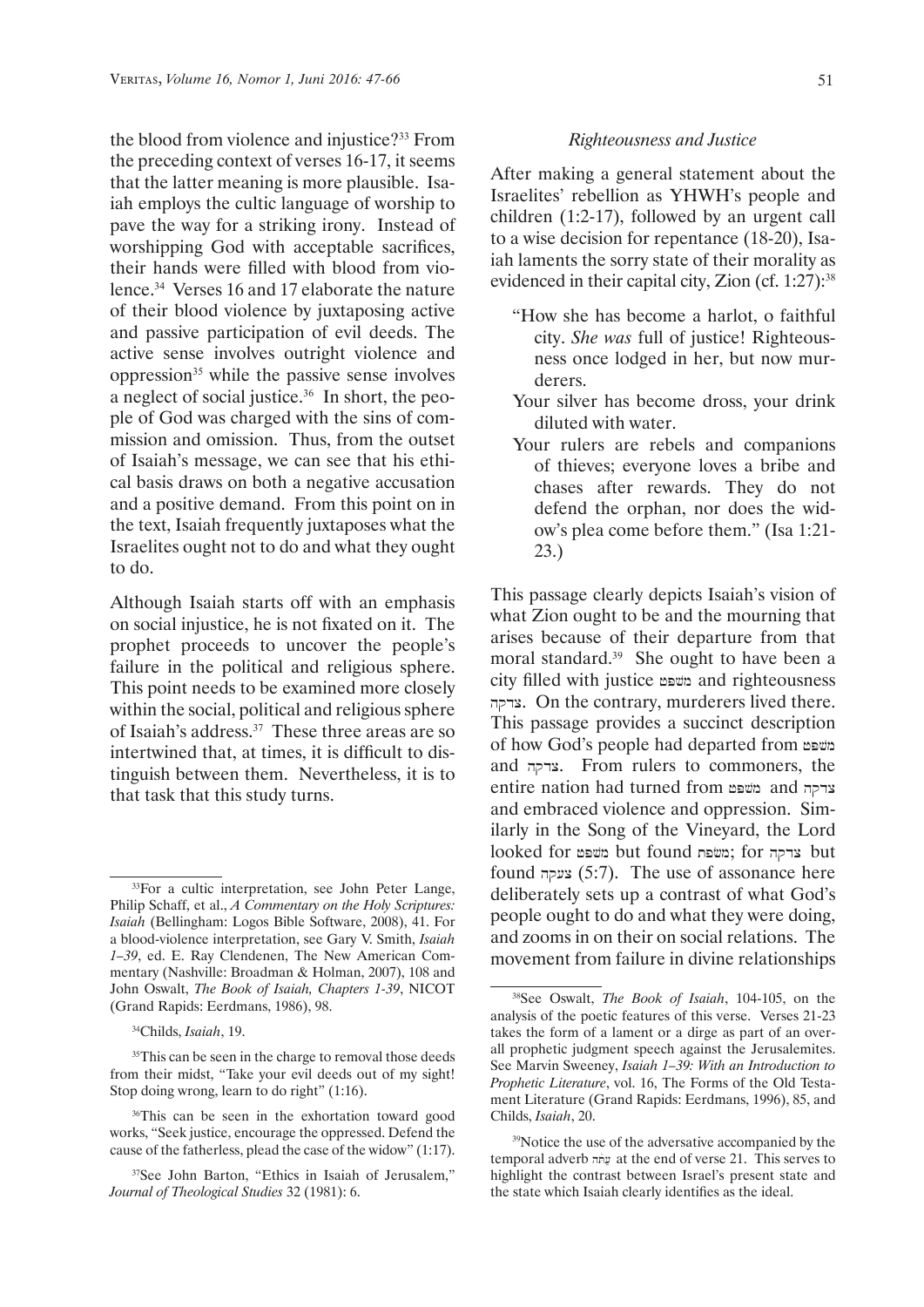the blood from violence and injustice?33 From the preceding context of verses 16-17, it seems that the latter meaning is more plausible. Isaiah employs the cultic language of worship to pave the way for a striking irony. Instead of worshipping God with acceptable sacrifices, their hands were filled with blood from violence.34 Verses 16 and 17 elaborate the nature of their blood violence by juxtaposing active and passive participation of evil deeds. The active sense involves outright violence and oppression35 while the passive sense involves a neglect of social justice.36 In short, the people of God was charged with the sins of commission and omission. Thus, from the outset of Isaiah's message, we can see that his ethical basis draws on both a negative accusation and a positive demand. From this point on in the text, Isaiah frequently juxtaposes what the Israelites ought not to do and what they ought to do.

Although Isaiah starts off with an emphasis on social injustice, he is not fixated on it. The prophet proceeds to uncover the people's failure in the political and religious sphere. This point needs to be examined more closely within the social, political and religious sphere of Isaiah's address.37 These three areas are so intertwined that, at times, it is difficult to distinguish between them. Nevertheless, it is to that task that this study turns.

### *Righteousness and Justice*

After making a general statement about the Israelites' rebellion as YHWH's people and children (1:2-17), followed by an urgent call to a wise decision for repentance (18-20), Isaiah laments the sorry state of their morality as evidenced in their capital city, Zion (cf.  $1:27$ ):<sup>38</sup>

- "How she has become a harlot, o faithful city. *She was* full of justice! Righteousness once lodged in her, but now murderers.
- Your silver has become dross, your drink diluted with water.
- Your rulers are rebels and companions of thieves; everyone loves a bribe and chases after rewards. They do not defend the orphan, nor does the widow's plea come before them." (Isa 1:21- 23.)

This passage clearly depicts Isaiah's vision of what Zion ought to be and the mourning that arises because of their departure from that moral standard.<sup>39</sup> She ought to have been a city filled with justice משפט and righteousness hqdc. On the contrary, murderers lived there. This passage provides a succinct description of how God's people had departed from משפט and צדקה. From rulers to commoners, the entire nation had turned from and and ar and embraced violence and oppression. Similarly in the Song of the Vineyard, the Lord looked for נשפת; for נמשפת; for but but found צעקה (5:7). The use of assonance here deliberately sets up a contrast of what God's people ought to do and what they were doing, and zooms in on their on social relations. The movement from failure in divine relationships

<sup>&</sup>lt;sup>33</sup>For a cultic interpretation, see John Peter Lange, Philip Schaff, et al., *A Commentary on the Holy Scriptures: Isaiah* (Bellingham: Logos Bible Software, 2008), 41. For a blood-violence interpretation, see Gary V. Smith, *Isaiah 1–39*, ed. E. Ray Clendenen, The New American Commentary (Nashville: Broadman & Holman, 2007), 108 and John Oswalt, *The Book of Isaiah, Chapters 1-39*, NICOT (Grand Rapids: Eerdmans, 1986), 98.

<sup>34</sup>Childs, *Isaiah*, 19.

<sup>&</sup>lt;sup>35</sup>This can be seen in the charge to removal those deeds from their midst, "Take your evil deeds out of my sight! Stop doing wrong, learn to do right" (1:16).

<sup>&</sup>lt;sup>36</sup>This can be seen in the exhortation toward good works, "Seek justice, encourage the oppressed. Defend the cause of the fatherless, plead the case of the widow" (1:17).

<sup>37</sup>See John Barton, "Ethics in Isaiah of Jerusalem," *Journal of Theological Studies* 32 (1981): 6.

<sup>38</sup>See Oswalt, *The Book of Isaiah*, 104-105, on the analysis of the poetic features of this verse. Verses 21-23 takes the form of a lament or a dirge as part of an overall prophetic judgment speech against the Jerusalemites. See Marvin Sweeney, *Isaiah 1–39: With an Introduction to Prophetic Literature*, vol. 16, The Forms of the Old Testament Literature (Grand Rapids: Eerdmans, 1996), 85, and Childs, *Isaiah*, 20.

<sup>39</sup>Notice the use of the adversative accompanied by the temporal adverb *unit* at the end of verse 21. This serves to highlight the contrast between Israel's present state and the state which Isaiah clearly identifies as the ideal.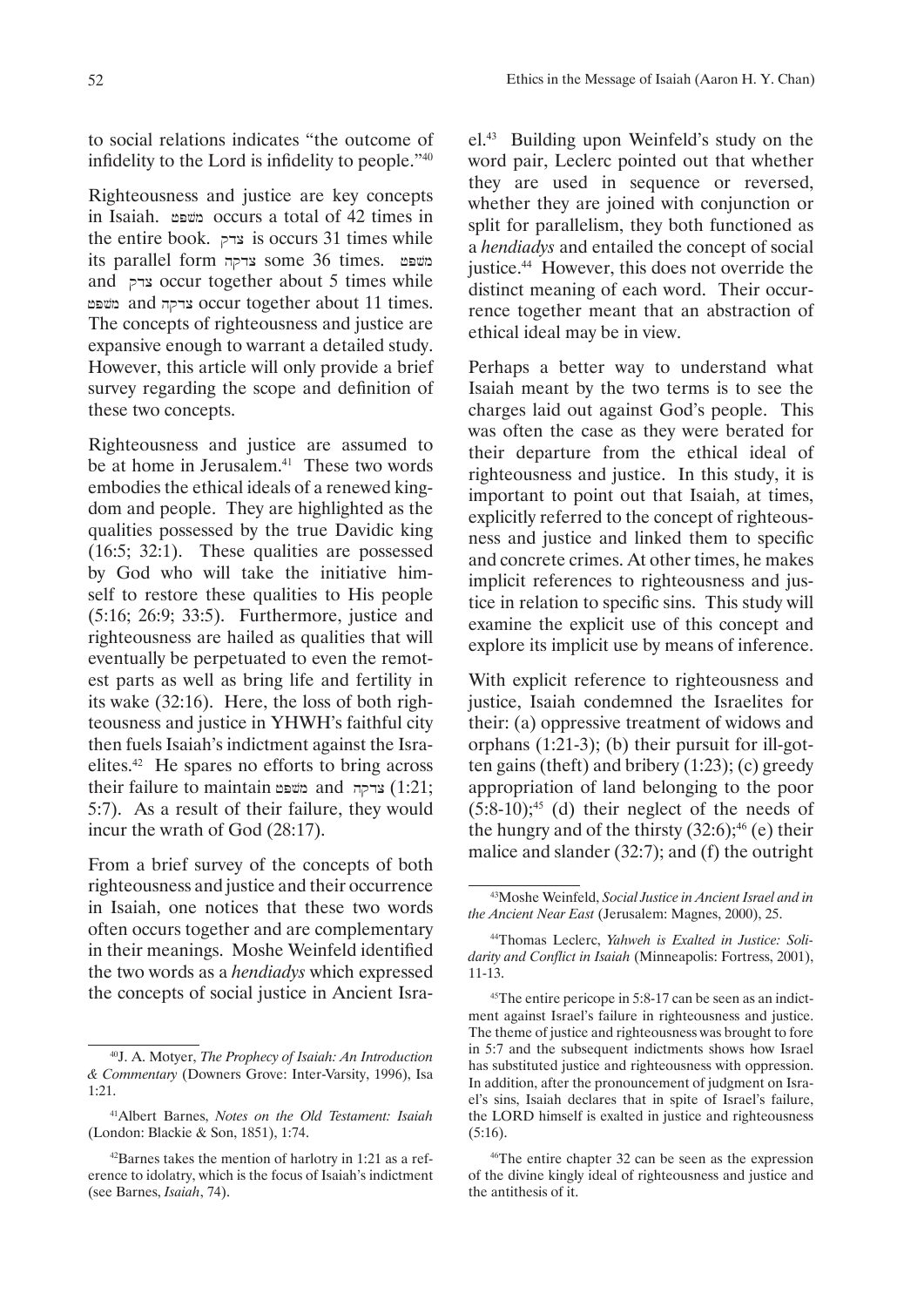to social relations indicates "the outcome of infidelity to the Lord is infidelity to people."<sup>40</sup>

Righteousness and justice are key concepts in Isaiah. *משפט* occurs a total of 42 times in the entire book.  $z\rightarrow$  is occurs 31 times while its parallel form צדקה some 36 times.  $p$ and צדק occur together about 5 times while and צדקה and צדקה occur together about 11 times. The concepts of righteousness and justice are expansive enough to warrant a detailed study. However, this article will only provide a brief survey regarding the scope and definition of these two concepts.

Righteousness and justice are assumed to be at home in Jerusalem.<sup>41</sup> These two words embodies the ethical ideals of a renewed kingdom and people. They are highlighted as the qualities possessed by the true Davidic king (16:5; 32:1). These qualities are possessed by God who will take the initiative himself to restore these qualities to His people (5:16; 26:9; 33:5). Furthermore, justice and righteousness are hailed as qualities that will eventually be perpetuated to even the remotest parts as well as bring life and fertility in its wake (32:16). Here, the loss of both righteousness and justice in YHWH's faithful city then fuels Isaiah's indictment against the Israelites.42 He spares no efforts to bring across their failure to maintain awam and  $1:21;$ 5:7). As a result of their failure, they would incur the wrath of God (28:17).

From a brief survey of the concepts of both righteousness and justice and their occurrence in Isaiah, one notices that these two words often occurs together and are complementary in their meanings. Moshe Weinfeld identified the two words as a *hendiadys* which expressed the concepts of social justice in Ancient Israel.43 Building upon Weinfeld's study on the word pair, Leclerc pointed out that whether they are used in sequence or reversed, whether they are joined with conjunction or split for parallelism, they both functioned as a *hendiadys* and entailed the concept of social justice.44 However, this does not override the distinct meaning of each word. Their occurrence together meant that an abstraction of ethical ideal may be in view.

Perhaps a better way to understand what Isaiah meant by the two terms is to see the charges laid out against God's people. This was often the case as they were berated for their departure from the ethical ideal of righteousness and justice. In this study, it is important to point out that Isaiah, at times, explicitly referred to the concept of righteousness and justice and linked them to specific and concrete crimes. At other times, he makes implicit references to righteousness and justice in relation to specific sins. This study will examine the explicit use of this concept and explore its implicit use by means of inference.

With explicit reference to righteousness and justice, Isaiah condemned the Israelites for their: (a) oppressive treatment of widows and orphans (1:21-3); (b) their pursuit for ill-gotten gains (theft) and bribery (1:23); (c) greedy appropriation of land belonging to the poor  $(5:8-10);$ <sup>45</sup> (d) their neglect of the needs of the hungry and of the thirsty  $(32.6)$ ;<sup>46</sup> (e) their malice and slander (32:7); and (f) the outright

<sup>40</sup>J. A. Motyer, *The Prophecy of Isaiah: An Introduction & Commentary* (Downers Grove: Inter-Varsity, 1996), Isa 1:21.

<sup>41</sup>Albert Barnes, *Notes on the Old Testament: Isaiah*  (London: Blackie & Son, 1851), 1:74.

<sup>42</sup>Barnes takes the mention of harlotry in 1:21 as a reference to idolatry, which is the focus of Isaiah's indictment (see Barnes, *Isaiah*, 74).

<sup>43</sup>Moshe Weinfeld, *Social Justice in Ancient Israel and in the Ancient Near East* (Jerusalem: Magnes, 2000), 25.

<sup>44</sup>Thomas Leclerc, *Yahweh is Exalted in Justice: Solidarity and Conflict in Isaiah* (Minneapolis: Fortress, 2001), 11-13.

<sup>45</sup>The entire pericope in 5:8-17 can be seen as an indictment against Israel's failure in righteousness and justice. The theme of justice and righteousness was brought to fore in 5:7 and the subsequent indictments shows how Israel has substituted justice and righteousness with oppression. In addition, after the pronouncement of judgment on Israel's sins, Isaiah declares that in spite of Israel's failure, the LORD himself is exalted in justice and righteousness (5:16).

<sup>46</sup>The entire chapter 32 can be seen as the expression of the divine kingly ideal of righteousness and justice and the antithesis of it.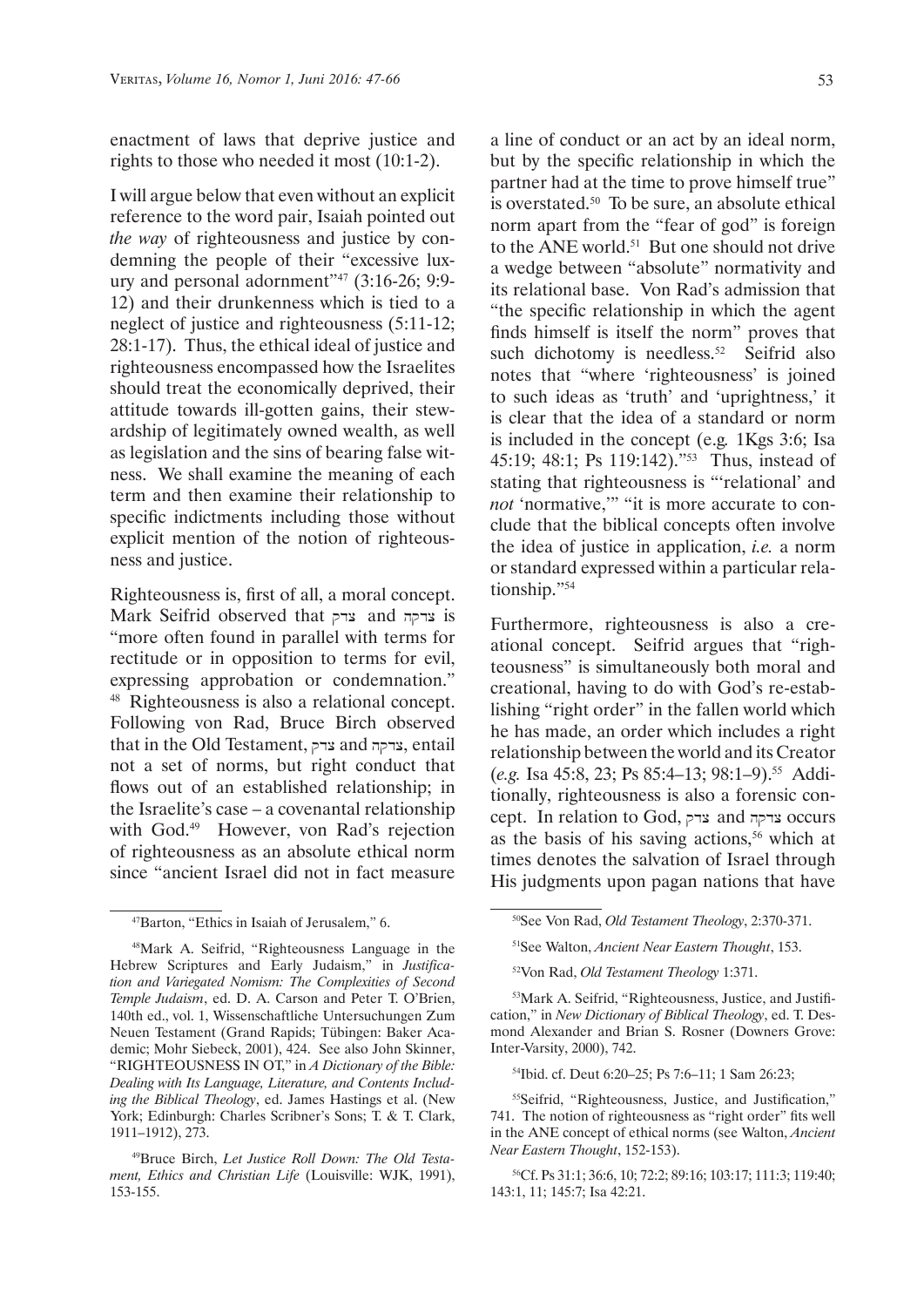enactment of laws that deprive justice and rights to those who needed it most (10:1-2).

I will argue below that even without an explicit reference to the word pair, Isaiah pointed out *the way* of righteousness and justice by condemning the people of their "excessive luxury and personal adornment"47 (3:16-26; 9:9- 12) and their drunkenness which is tied to a neglect of justice and righteousness (5:11-12; 28:1-17). Thus, the ethical ideal of justice and righteousness encompassed how the Israelites should treat the economically deprived, their attitude towards ill-gotten gains, their stewardship of legitimately owned wealth, as well as legislation and the sins of bearing false witness. We shall examine the meaning of each term and then examine their relationship to specific indictments including those without explicit mention of the notion of righteousness and justice.

Righteousness is, first of all, a moral concept. Mark Seifrid observed that צדקה and art and art "more often found in parallel with terms for rectitude or in opposition to terms for evil, expressing approbation or condemnation." 48 Righteousness is also a relational concept. Following von Rad, Bruce Birch observed that in the Old Testament, צדקה and agreed, and and and and and and and  $\alpha$ not a set of norms, but right conduct that flows out of an established relationship; in the Israelite's case – a covenantal relationship with God.<sup>49</sup> However, von Rad's rejection of righteousness as an absolute ethical norm since "ancient Israel did not in fact measure

a line of conduct or an act by an ideal norm, but by the specific relationship in which the partner had at the time to prove himself true" is overstated.50 To be sure, an absolute ethical norm apart from the "fear of god" is foreign to the ANE world.<sup>51</sup> But one should not drive a wedge between "absolute" normativity and its relational base. Von Rad's admission that "the specific relationship in which the agent finds himself is itself the norm" proves that such dichotomy is needless.<sup>52</sup> Seifrid also notes that "where 'righteousness' is joined to such ideas as 'truth' and 'uprightness,' it is clear that the idea of a standard or norm is included in the concept (e.g*.* 1Kgs 3:6; Isa 45:19; 48:1; Ps 119:142)."<sup>53</sup> Thus, instead of stating that righteousness is "'relational' and *not* 'normative,'" "it is more accurate to conclude that the biblical concepts often involve the idea of justice in application, *i.e.* a norm or standard expressed within a particular relationship."<sup>54</sup>

Furthermore, righteousness is also a creational concept. Seifrid argues that "righteousness" is simultaneously both moral and creational, having to do with God's re-establishing "right order" in the fallen world which he has made, an order which includes a right relationship between the world and its Creator (*e.g.* Isa 45:8, 23; Ps 85:4-13; 98:1-9).<sup>55</sup> Additionally, righteousness is also a forensic concept. In relation to God, צדקה and art are accurs as the basis of his saving actions,<sup>56</sup> which at times denotes the salvation of Israel through His judgments upon pagan nations that have

54Ibid. cf. Deut 6:20–25; Ps 7:6–11; 1 Sam 26:23;

<sup>47</sup>Barton, "Ethics in Isaiah of Jerusalem," 6.

<sup>48</sup>Mark A. Seifrid, "Righteousness Language in the Hebrew Scriptures and Early Judaism," in *Justification and Variegated Nomism: The Complexities of Second Temple Judaism*, ed. D. A. Carson and Peter T. O'Brien, 140th ed., vol. 1, Wissenschaftliche Untersuchungen Zum Neuen Testament (Grand Rapids; Tübingen: Baker Academic; Mohr Siebeck, 2001), 424. See also John Skinner, "RIGHTEOUSNESS IN OT," in *A Dictionary of the Bible: Dealing with Its Language, Literature, and Contents Including the Biblical Theology*, ed. James Hastings et al. (New York; Edinburgh: Charles Scribner's Sons; T. & T. Clark, 1911–1912), 273.

<sup>49</sup>Bruce Birch, *Let Justice Roll Down: The Old Testament, Ethics and Christian Life* (Louisville: WJK, 1991), 153-155.

<sup>50</sup>See Von Rad, *Old Testament Theology*, 2:370-371.

<sup>51</sup>See Walton, *Ancient Near Eastern Thought*, 153.

<sup>52</sup>Von Rad, *Old Testament Theology* 1:371.

<sup>53</sup>Mark A. Seifrid, "Righteousness, Justice, and Justification," in *New Dictionary of Biblical Theology*, ed. T. Desmond Alexander and Brian S. Rosner (Downers Grove: Inter-Varsity, 2000), 742.

<sup>55</sup>Seifrid, "Righteousness, Justice, and Justification," 741. The notion of righteousness as "right order" fits well in the ANE concept of ethical norms (see Walton, *Ancient Near Eastern Thought*, 152-153).

<sup>56</sup>Cf. Ps 31:1; 36:6, 10; 72:2; 89:16; 103:17; 111:3; 119:40; 143:1, 11; 145:7; Isa 42:21.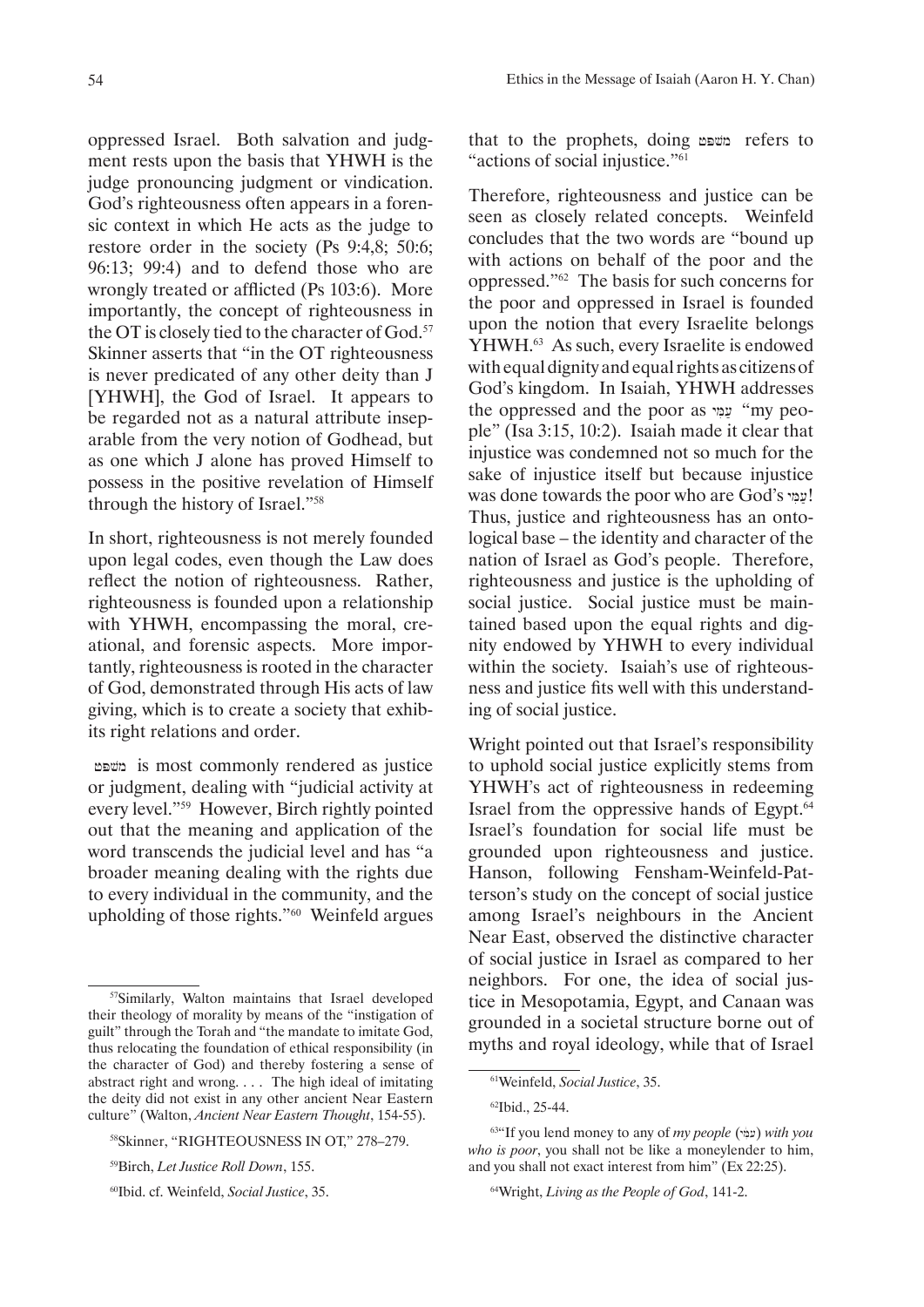oppressed Israel. Both salvation and judgment rests upon the basis that YHWH is the judge pronouncing judgment or vindication. God's righteousness often appears in a forensic context in which He acts as the judge to restore order in the society (Ps 9:4,8; 50:6; 96:13; 99:4) and to defend those who are wrongly treated or afflicted (Ps 103:6). More importantly, the concept of righteousness in the OT is closely tied to the character of God.<sup>57</sup> Skinner asserts that "in the OT righteousness is never predicated of any other deity than J [YHWH], the God of Israel. It appears to be regarded not as a natural attribute inseparable from the very notion of Godhead, but

In short, righteousness is not merely founded upon legal codes, even though the Law does reflect the notion of righteousness. Rather, righteousness is founded upon a relationship with YHWH, encompassing the moral, creational, and forensic aspects. More importantly, righteousness is rooted in the character of God, demonstrated through His acts of law giving, which is to create a society that exhibits right relations and order.

as one which J alone has proved Himself to possess in the positive revelation of Himself

through the history of Israel."<sup>58</sup>

jPvm is most commonly rendered as justice or judgment, dealing with "judicial activity at every level."59 However, Birch rightly pointed out that the meaning and application of the word transcends the judicial level and has "a broader meaning dealing with the rights due to every individual in the community, and the upholding of those rights."60 Weinfeld argues that to the prophets, doing משפט refers to "actions of social injustice."<sup>61</sup>

Therefore, righteousness and justice can be seen as closely related concepts. Weinfeld concludes that the two words are "bound up with actions on behalf of the poor and the oppressed."62 The basis for such concerns for the poor and oppressed in Israel is founded upon the notion that every Israelite belongs YHWH.63 As such, every Israelite is endowed with equal dignity and equal rights as citizens of God's kingdom. In Isaiah, YHWH addresses the oppressed and the poor as you "my people" (Isa 3:15, 10:2). Isaiah made it clear that injustice was condemned not so much for the sake of injustice itself but because injustice was done towards the poor who are God's ! Thus, justice and righteousness has an ontological base – the identity and character of the nation of Israel as God's people. Therefore, righteousness and justice is the upholding of social justice. Social justice must be maintained based upon the equal rights and dignity endowed by YHWH to every individual within the society. Isaiah's use of righteousness and justice fits well with this understanding of social justice.

Wright pointed out that Israel's responsibility to uphold social justice explicitly stems from YHWH's act of righteousness in redeeming Israel from the oppressive hands of Egypt.<sup>64</sup> Israel's foundation for social life must be grounded upon righteousness and justice. Hanson, following Fensham-Weinfeld-Patterson's study on the concept of social justice among Israel's neighbours in the Ancient Near East, observed the distinctive character of social justice in Israel as compared to her neighbors. For one, the idea of social justice in Mesopotamia, Egypt, and Canaan was grounded in a societal structure borne out of myths and royal ideology, while that of Israel

<sup>57</sup>Similarly, Walton maintains that Israel developed their theology of morality by means of the "instigation of guilt" through the Torah and "the mandate to imitate God, thus relocating the foundation of ethical responsibility (in the character of God) and thereby fostering a sense of abstract right and wrong. . . . The high ideal of imitating the deity did not exist in any other ancient Near Eastern culture" (Walton, *Ancient Near Eastern Thought*, 154-55).

<sup>58</sup>Skinner, "RIGHTEOUSNESS IN OT," 278–279.

<sup>59</sup>Birch, *Let Justice Roll Down*, 155.

<sup>60</sup>Ibid. cf. Weinfeld, *Social Justice*, 35.

<sup>61</sup>Weinfeld, *Social Justice*, 35.

<sup>62</sup>Ibid., 25-44.

<sup>63&</sup>quot;If you lend money to any of *my people* (עמָי) with you *who is poor*, you shall not be like a moneylender to him, and you shall not exact interest from him" (Ex 22:25).

<sup>64</sup>Wright, *Living as the People of God*, 141-2.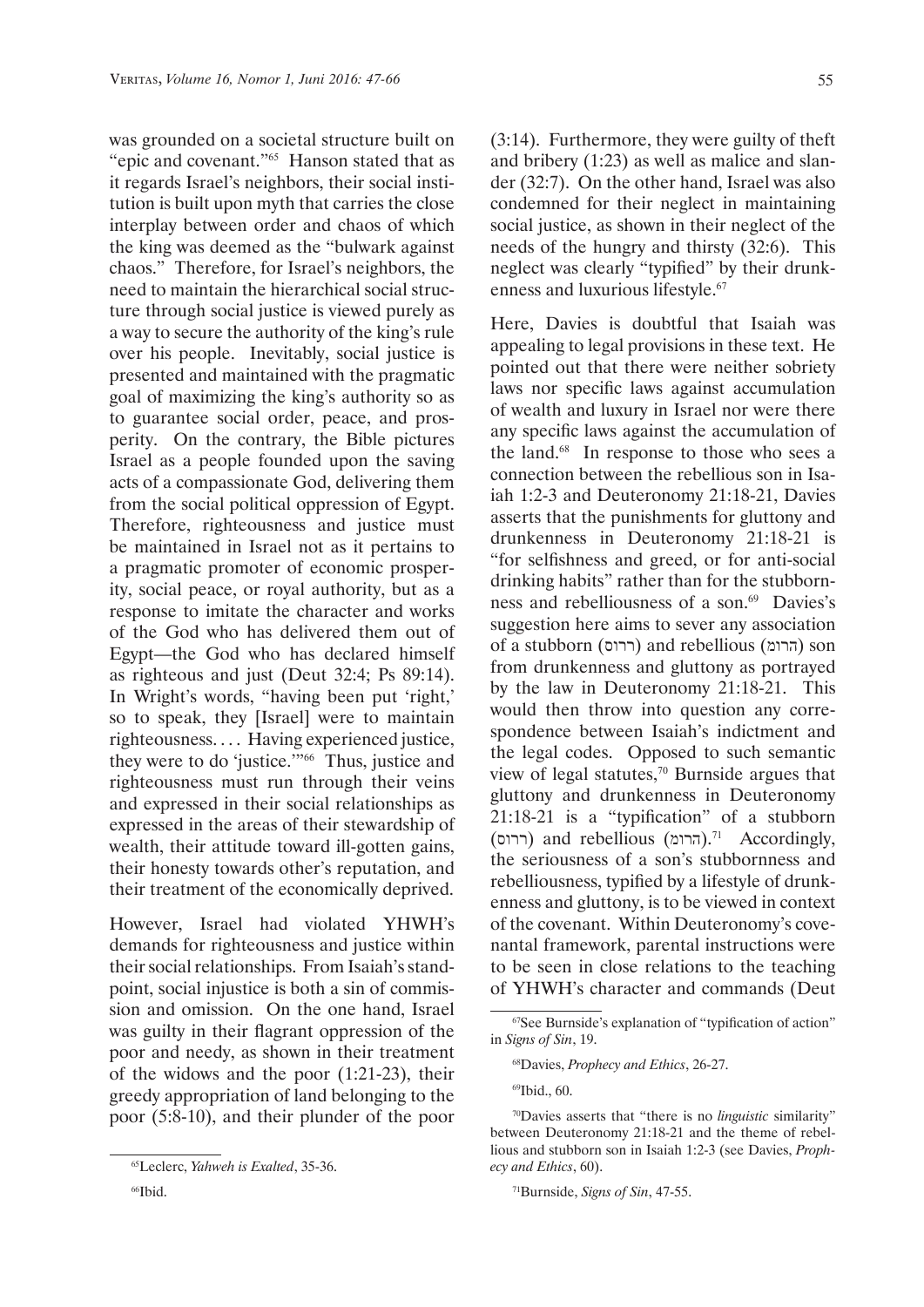was grounded on a societal structure built on "epic and covenant."65 Hanson stated that as it regards Israel's neighbors, their social institution is built upon myth that carries the close interplay between order and chaos of which the king was deemed as the "bulwark against chaos." Therefore, for Israel's neighbors, the need to maintain the hierarchical social structure through social justice is viewed purely as a way to secure the authority of the king's rule over his people. Inevitably, social justice is presented and maintained with the pragmatic goal of maximizing the king's authority so as to guarantee social order, peace, and prosperity. On the contrary, the Bible pictures Israel as a people founded upon the saving acts of a compassionate God, delivering them from the social political oppression of Egypt. Therefore, righteousness and justice must be maintained in Israel not as it pertains to a pragmatic promoter of economic prosperity, social peace, or royal authority, but as a response to imitate the character and works of the God who has delivered them out of Egypt—the God who has declared himself as righteous and just (Deut 32:4; Ps 89:14). In Wright's words, "having been put 'right,' so to speak, they [Israel] were to maintain righteousness. . . . Having experienced justice, they were to do 'justice.'"66 Thus, justice and righteousness must run through their veins and expressed in their social relationships as expressed in the areas of their stewardship of wealth, their attitude toward ill-gotten gains, their honesty towards other's reputation, and their treatment of the economically deprived.

However, Israel had violated YHWH's demands for righteousness and justice within their social relationships. From Isaiah's standpoint, social injustice is both a sin of commission and omission. On the one hand, Israel was guilty in their flagrant oppression of the poor and needy, as shown in their treatment of the widows and the poor (1:21-23), their greedy appropriation of land belonging to the poor (5:8-10), and their plunder of the poor (3:14). Furthermore, they were guilty of theft and bribery (1:23) as well as malice and slander (32:7). On the other hand, Israel was also condemned for their neglect in maintaining social justice, as shown in their neglect of the needs of the hungry and thirsty (32:6). This neglect was clearly "typified" by their drunkenness and luxurious lifestyle.<sup>67</sup>

Here, Davies is doubtful that Isaiah was appealing to legal provisions in these text. He pointed out that there were neither sobriety laws nor specific laws against accumulation of wealth and luxury in Israel nor were there any specific laws against the accumulation of the land.68 In response to those who sees a connection between the rebellious son in Isaiah 1:2-3 and Deuteronomy 21:18-21, Davies asserts that the punishments for gluttony and drunkenness in Deuteronomy 21:18-21 is "for selfishness and greed, or for anti-social drinking habits" rather than for the stubbornness and rebelliousness of a son.<sup>69</sup> Davies's suggestion here aims to sever any association of a stubborn (ררוס) and rebellious (הרומ) son from drunkenness and gluttony as portrayed by the law in Deuteronomy 21:18-21. This would then throw into question any correspondence between Isaiah's indictment and the legal codes. Opposed to such semantic view of legal statutes, $70$  Burnside argues that gluttony and drunkenness in Deuteronomy 21:18-21 is a "typification" of a stubborn (ררוס (and rebellious (הרומ(.71 Accordingly, the seriousness of a son's stubbornness and rebelliousness, typified by a lifestyle of drunkenness and gluttony, is to be viewed in context of the covenant. Within Deuteronomy's covenantal framework, parental instructions were to be seen in close relations to the teaching of YHWH's character and commands (Deut

69Ibid., 60.

<sup>65</sup>Leclerc, *Yahweh is Exalted*, 35-36.

<sup>66</sup>Ibid.

<sup>67</sup>See Burnside's explanation of "typification of action" in *Signs of Sin*, 19.

<sup>68</sup>Davies, *Prophecy and Ethics*, 26-27.

<sup>70</sup>Davies asserts that "there is no *linguistic* similarity" between Deuteronomy 21:18-21 and the theme of rebellious and stubborn son in Isaiah 1:2-3 (see Davies, *Prophecy and Ethics*, 60).

<sup>71</sup>Burnside, *Signs of Sin*, 47-55.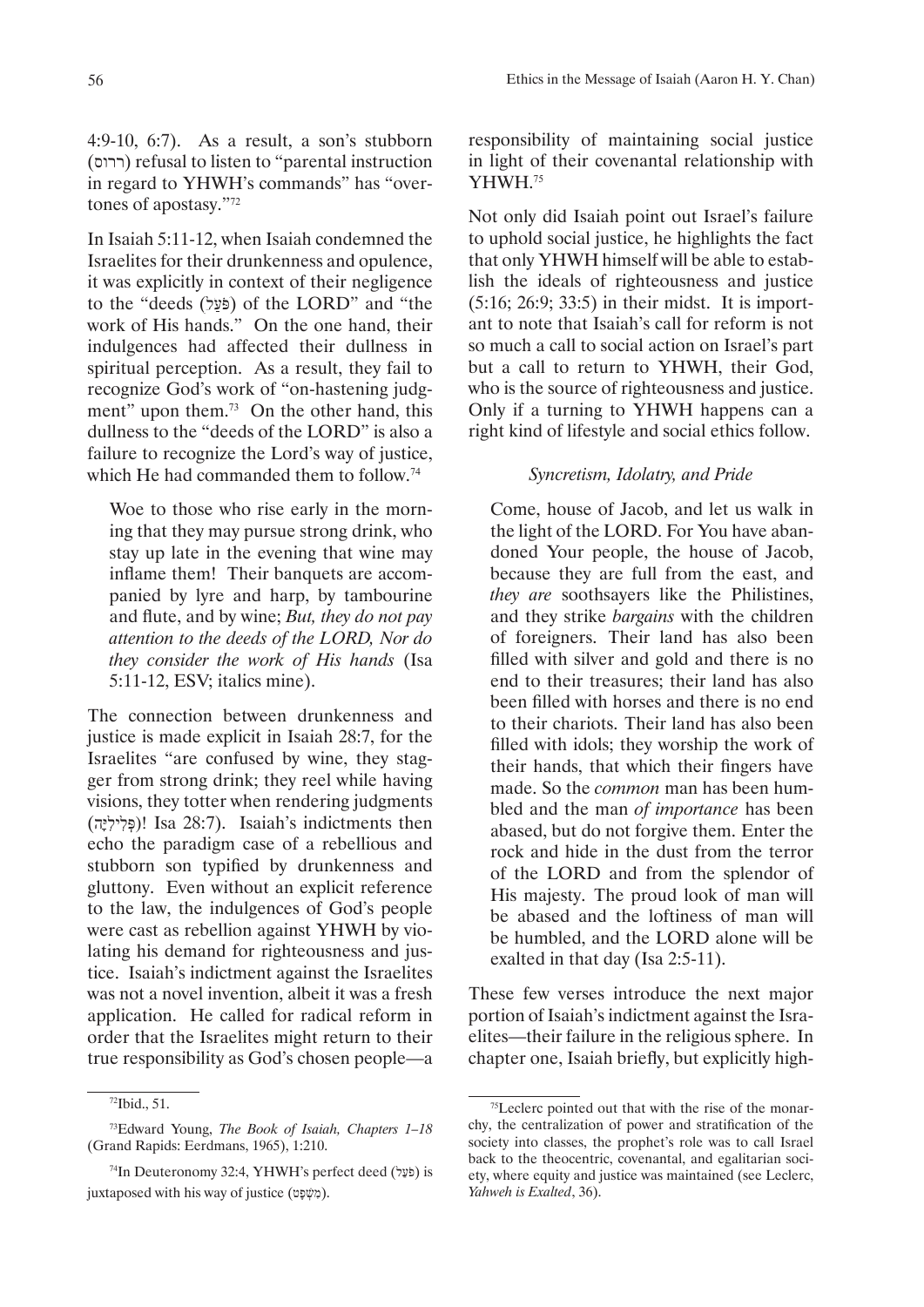(ררוס (refusal to listen to "parental instruction in regard to YHWH's commands" has "overtones of apostasy."<sup>72</sup>

In Isaiah 5:11-12, when Isaiah condemned the Israelites for their drunkenness and opulence, it was explicitly in context of their negligence to the "deeds (פֿעל) of the LORD" and "the work of His hands." On the one hand, their indulgences had affected their dullness in spiritual perception. As a result, they fail to recognize God's work of "on-hastening judgment" upon them.<sup>73</sup> On the other hand, this dullness to the "deeds of the LORD" is also a failure to recognize the Lord's way of justice, which He had commanded them to follow.<sup>74</sup>

Woe to those who rise early in the morning that they may pursue strong drink, who stay up late in the evening that wine may inflame them! Their banquets are accompanied by lyre and harp, by tambourine and flute, and by wine; *But, they do not pay attention to the deeds of the LORD, Nor do they consider the work of His hands* (Isa 5:11-12, ESV; italics mine).

The connection between drunkenness and justice is made explicit in Isaiah 28:7, for the Israelites "are confused by wine, they stagger from strong drink; they reel while having visions, they totter when rendering judgments (פְּלִילִיה)! Isa 28:7). Isaiah's indictments then echo the paradigm case of a rebellious and stubborn son typified by drunkenness and gluttony. Even without an explicit reference to the law, the indulgences of God's people were cast as rebellion against YHWH by violating his demand for righteousness and justice. Isaiah's indictment against the Israelites was not a novel invention, albeit it was a fresh application. He called for radical reform in order that the Israelites might return to their true responsibility as God's chosen people—a

responsibility of maintaining social justice in light of their covenantal relationship with YHWH.<sup>75</sup>

Not only did Isaiah point out Israel's failure to uphold social justice, he highlights the fact that only YHWH himself will be able to establish the ideals of righteousness and justice (5:16; 26:9; 33:5) in their midst. It is important to note that Isaiah's call for reform is not so much a call to social action on Israel's part but a call to return to YHWH, their God, who is the source of righteousness and justice. Only if a turning to YHWH happens can a right kind of lifestyle and social ethics follow.

## *Syncretism, Idolatry, and Pride*

Come, house of Jacob, and let us walk in the light of the LORD. For You have abandoned Your people, the house of Jacob, because they are full from the east, and *they are* soothsayers like the Philistines, and they strike *bargains* with the children of foreigners. Their land has also been filled with silver and gold and there is no end to their treasures; their land has also been filled with horses and there is no end to their chariots. Their land has also been filled with idols; they worship the work of their hands, that which their fingers have made. So the *common* man has been humbled and the man *of importance* has been abased, but do not forgive them. Enter the rock and hide in the dust from the terror of the LORD and from the splendor of His majesty. The proud look of man will be abased and the loftiness of man will be humbled, and the LORD alone will be exalted in that day (Isa 2:5-11).

These few verses introduce the next major portion of Isaiah's indictment against the Israelites—their failure in the religious sphere. In chapter one, Isaiah briefly, but explicitly high-

<sup>72</sup>Ibid., 51.

<sup>73</sup>Edward Young, *The Book of Isaiah, Chapters 1–18*  (Grand Rapids: Eerdmans, 1965), 1:210.

<sup>&</sup>lt;sup>74</sup>In Deuteronomy 32:4, YHWH's perfect deed (לַעֵּל) is juxtaposed with his way of justice (מָשָׁפָּט).

<sup>75</sup>Leclerc pointed out that with the rise of the monarchy, the centralization of power and stratification of the society into classes, the prophet's role was to call Israel back to the theocentric, covenantal, and egalitarian society, where equity and justice was maintained (see Leclerc, *Yahweh is Exalted*, 36).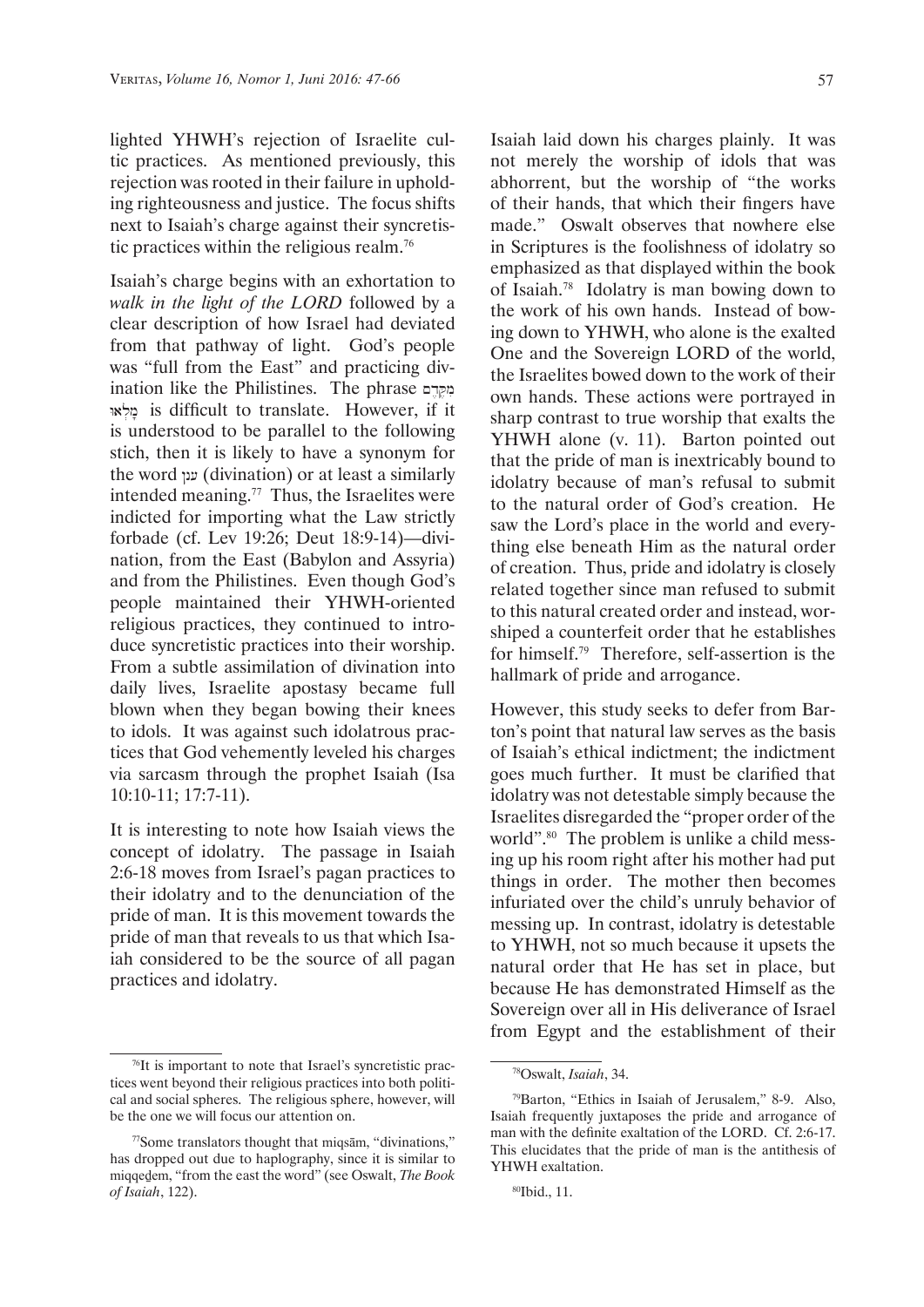lighted YHWH's rejection of Israelite cultic practices. As mentioned previously, this rejection was rooted in their failure in upholding righteousness and justice. The focus shifts next to Isaiah's charge against their syncretistic practices within the religious realm.<sup>76</sup>

Isaiah's charge begins with an exhortation to *walk in the light of the LORD* followed by a clear description of how Israel had deviated from that pathway of light. God's people was "full from the East" and practicing divination like the Philistines. The phrase  $q$ Wal.m\ is difficult to translate. However, if it is understood to be parallel to the following stich, then it is likely to have a synonym for the word ענן (divination) or at least a similarly intended meaning.77 Thus, the Israelites were indicted for importing what the Law strictly forbade (cf. Lev 19:26; Deut 18:9-14)—divination, from the East (Babylon and Assyria) and from the Philistines. Even though God's people maintained their YHWH-oriented religious practices, they continued to introduce syncretistic practices into their worship. From a subtle assimilation of divination into daily lives, Israelite apostasy became full blown when they began bowing their knees to idols. It was against such idolatrous practices that God vehemently leveled his charges via sarcasm through the prophet Isaiah (Isa 10:10-11; 17:7-11).

It is interesting to note how Isaiah views the concept of idolatry. The passage in Isaiah 2:6-18 moves from Israel's pagan practices to their idolatry and to the denunciation of the pride of man. It is this movement towards the pride of man that reveals to us that which Isaiah considered to be the source of all pagan practices and idolatry.

Isaiah laid down his charges plainly. It was not merely the worship of idols that was abhorrent, but the worship of "the works of their hands, that which their fingers have made." Oswalt observes that nowhere else in Scriptures is the foolishness of idolatry so emphasized as that displayed within the book of Isaiah.78 Idolatry is man bowing down to the work of his own hands. Instead of bowing down to YHWH, who alone is the exalted One and the Sovereign LORD of the world, the Israelites bowed down to the work of their own hands. These actions were portrayed in sharp contrast to true worship that exalts the YHWH alone (v. 11). Barton pointed out that the pride of man is inextricably bound to idolatry because of man's refusal to submit to the natural order of God's creation. He saw the Lord's place in the world and everything else beneath Him as the natural order of creation. Thus, pride and idolatry is closely related together since man refused to submit to this natural created order and instead, worshiped a counterfeit order that he establishes for himself.79 Therefore, self-assertion is the hallmark of pride and arrogance.

However, this study seeks to defer from Barton's point that natural law serves as the basis of Isaiah's ethical indictment; the indictment goes much further. It must be clarified that idolatry was not detestable simply because the Israelites disregarded the "proper order of the world".<sup>80</sup> The problem is unlike a child messing up his room right after his mother had put things in order. The mother then becomes infuriated over the child's unruly behavior of messing up. In contrast, idolatry is detestable to YHWH, not so much because it upsets the natural order that He has set in place, but because He has demonstrated Himself as the Sovereign over all in His deliverance of Israel from Egypt and the establishment of their

<sup>76</sup>It is important to note that Israel's syncretistic practices went beyond their religious practices into both political and social spheres. The religious sphere, however, will be the one we will focus our attention on.

<sup>77</sup>Some translators thought that miqsām, "divinations," has dropped out due to haplography, since it is similar to miqqeḏem, "from the east the word" (see Oswalt, *The Book of Isaiah*, 122).

<sup>78</sup>Oswalt, *Isaiah*, 34.

<sup>79</sup>Barton, "Ethics in Isaiah of Jerusalem," 8-9. Also, Isaiah frequently juxtaposes the pride and arrogance of man with the definite exaltation of the LORD. Cf. 2:6-17. This elucidates that the pride of man is the antithesis of YHWH exaltation.

<sup>80</sup>Ibid., 11.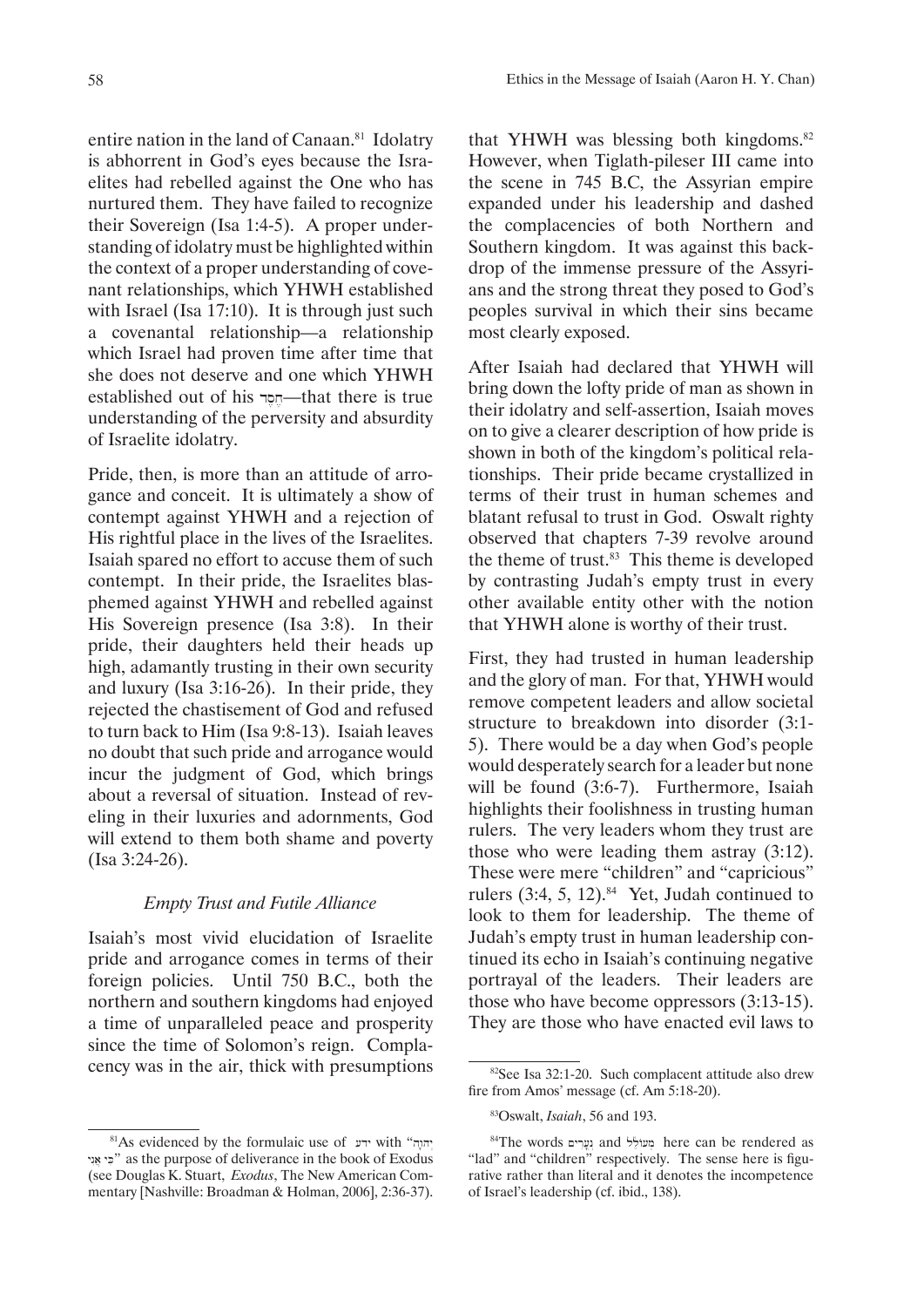entire nation in the land of Canaan.<sup>81</sup> Idolatry is abhorrent in God's eyes because the Israelites had rebelled against the One who has nurtured them. They have failed to recognize their Sovereign (Isa 1:4-5). A proper understanding of idolatry must be highlighted within the context of a proper understanding of covenant relationships, which YHWH established with Israel (Isa 17:10). It is through just such a covenantal relationship—a relationship which Israel had proven time after time that she does not deserve and one which YHWH established out of his  $m$ –that there is true understanding of the perversity and absurdity of Israelite idolatry.

Pride, then, is more than an attitude of arrogance and conceit. It is ultimately a show of contempt against YHWH and a rejection of His rightful place in the lives of the Israelites. Isaiah spared no effort to accuse them of such contempt. In their pride, the Israelites blasphemed against YHWH and rebelled against His Sovereign presence (Isa 3:8). In their pride, their daughters held their heads up high, adamantly trusting in their own security and luxury (Isa 3:16-26). In their pride, they rejected the chastisement of God and refused to turn back to Him (Isa 9:8-13). Isaiah leaves no doubt that such pride and arrogance would incur the judgment of God, which brings about a reversal of situation. Instead of reveling in their luxuries and adornments, God will extend to them both shame and poverty (Isa 3:24-26).

### *Empty Trust and Futile Alliance*

Isaiah's most vivid elucidation of Israelite pride and arrogance comes in terms of their foreign policies. Until 750 B.C., both the northern and southern kingdoms had enjoyed a time of unparalleled peace and prosperity since the time of Solomon's reign. Complacency was in the air, thick with presumptions that YHWH was blessing both kingdoms.<sup>82</sup> However, when Tiglath-pileser III came into the scene in 745 B.C, the Assyrian empire expanded under his leadership and dashed the complacencies of both Northern and Southern kingdom. It was against this backdrop of the immense pressure of the Assyrians and the strong threat they posed to God's peoples survival in which their sins became most clearly exposed.

After Isaiah had declared that YHWH will bring down the lofty pride of man as shown in their idolatry and self-assertion, Isaiah moves on to give a clearer description of how pride is shown in both of the kingdom's political relationships. Their pride became crystallized in terms of their trust in human schemes and blatant refusal to trust in God. Oswalt righty observed that chapters 7-39 revolve around the theme of trust.<sup>83</sup> This theme is developed by contrasting Judah's empty trust in every other available entity other with the notion that YHWH alone is worthy of their trust.

First, they had trusted in human leadership and the glory of man. For that, YHWH would remove competent leaders and allow societal structure to breakdown into disorder (3:1- 5). There would be a day when God's people would desperately search for a leader but none will be found (3:6-7). Furthermore, Isaiah highlights their foolishness in trusting human rulers. The very leaders whom they trust are those who were leading them astray (3:12). These were mere "children" and "capricious" rulers  $(3:4, 5, 12).$ <sup>84</sup> Yet, Judah continued to look to them for leadership. The theme of Judah's empty trust in human leadership continued its echo in Isaiah's continuing negative portrayal of the leaders. Their leaders are those who have become oppressors (3:13-15). They are those who have enacted evil laws to

 $81$ S evidenced by the formulaic use of  $\mu$  with "יהוה yg\a] yK." as the purpose of deliverance in the book of Exodus (see Douglas K. Stuart, *Exodus*, The New American Commentary [Nashville: Broadman & Holman, 2006], 2:36-37).

<sup>82</sup>See Isa 32:1-20. Such complacent attitude also drew fire from Amos' message (cf. Am 5:18-20).

<sup>83</sup>Oswalt, *Isaiah*, 56 and 193.

 $84$ The words  $29$ נערים and sin dree can be rendered as "lad" and "children" respectively. The sense here is figurative rather than literal and it denotes the incompetence of Israel's leadership (cf. ibid., 138).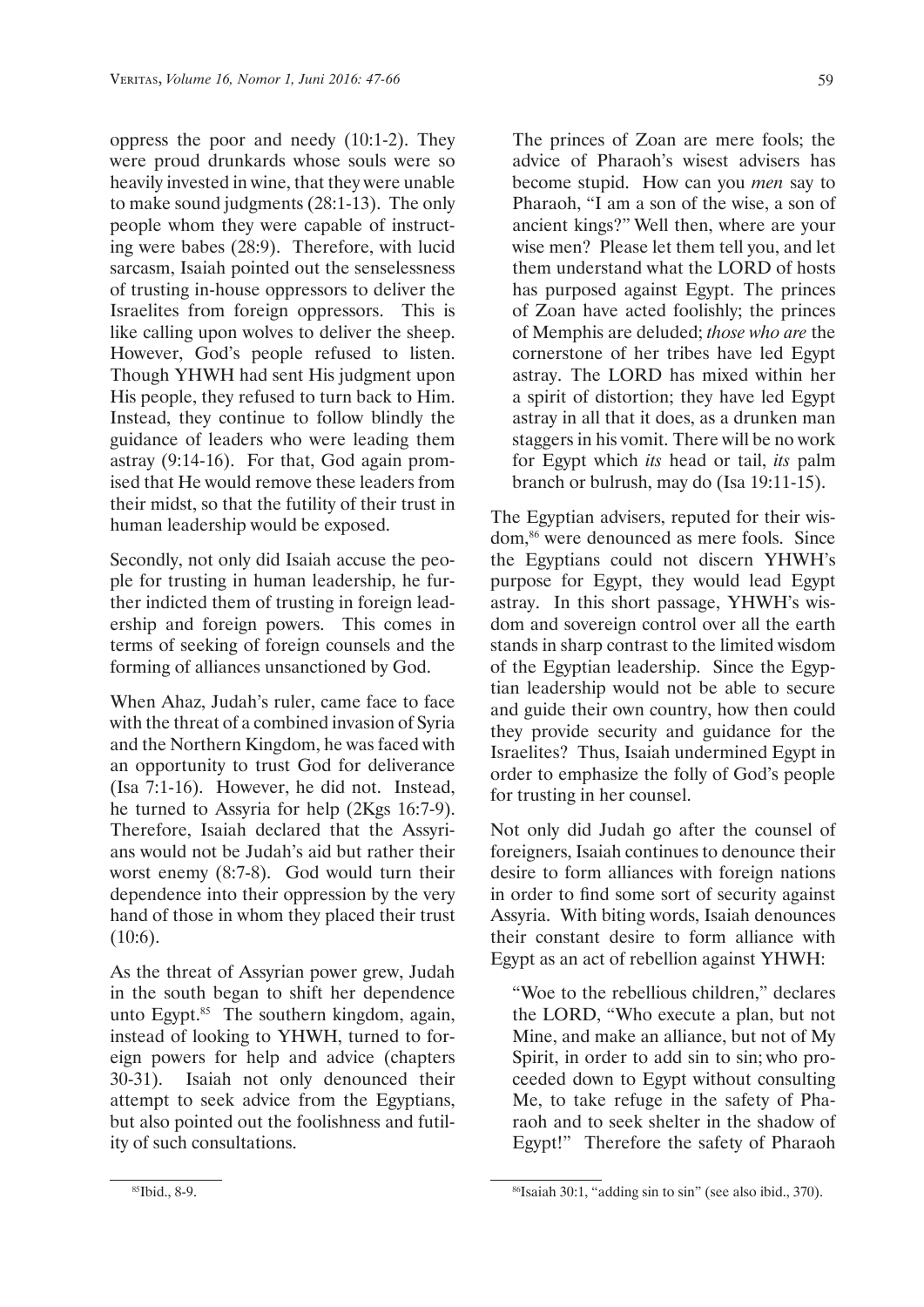oppress the poor and needy (10:1-2). They were proud drunkards whose souls were so heavily invested in wine, that they were unable to make sound judgments (28:1-13). The only people whom they were capable of instructing were babes (28:9). Therefore, with lucid sarcasm, Isaiah pointed out the senselessness of trusting in-house oppressors to deliver the Israelites from foreign oppressors. This is like calling upon wolves to deliver the sheep. However, God's people refused to listen. Though YHWH had sent His judgment upon His people, they refused to turn back to Him. Instead, they continue to follow blindly the guidance of leaders who were leading them astray (9:14-16). For that, God again promised that He would remove these leaders from their midst, so that the futility of their trust in human leadership would be exposed.

Secondly, not only did Isaiah accuse the people for trusting in human leadership, he further indicted them of trusting in foreign leadership and foreign powers. This comes in terms of seeking of foreign counsels and the forming of alliances unsanctioned by God.

When Ahaz, Judah's ruler, came face to face with the threat of a combined invasion of Syria and the Northern Kingdom, he was faced with an opportunity to trust God for deliverance (Isa 7:1-16). However, he did not. Instead, he turned to Assyria for help (2Kgs 16:7-9). Therefore, Isaiah declared that the Assyrians would not be Judah's aid but rather their worst enemy (8:7-8). God would turn their dependence into their oppression by the very hand of those in whom they placed their trust (10:6).

As the threat of Assyrian power grew, Judah in the south began to shift her dependence unto Egypt. $85$  The southern kingdom, again, instead of looking to YHWH, turned to foreign powers for help and advice (chapters 30-31). Isaiah not only denounced their attempt to seek advice from the Egyptians, but also pointed out the foolishness and futility of such consultations.

The princes of Zoan are mere fools; the advice of Pharaoh's wisest advisers has become stupid. How can you *men* say to Pharaoh, "I am a son of the wise, a son of ancient kings?" Well then, where are your wise men? Please let them tell you, and let them understand what the LORD of hosts has purposed against Egypt. The princes of Zoan have acted foolishly; the princes of Memphis are deluded; *those who are* the cornerstone of her tribes have led Egypt astray. The LORD has mixed within her a spirit of distortion; they have led Egypt astray in all that it does, as a drunken man staggers in his vomit. There will be no work for Egypt which *its* head or tail, *its* palm branch or bulrush, may do (Isa 19:11-15).

The Egyptian advisers, reputed for their wisdom,86 were denounced as mere fools. Since the Egyptians could not discern YHWH's purpose for Egypt, they would lead Egypt astray. In this short passage, YHWH's wisdom and sovereign control over all the earth stands in sharp contrast to the limited wisdom of the Egyptian leadership. Since the Egyptian leadership would not be able to secure and guide their own country, how then could they provide security and guidance for the Israelites? Thus, Isaiah undermined Egypt in order to emphasize the folly of God's people for trusting in her counsel.

Not only did Judah go after the counsel of foreigners, Isaiah continues to denounce their desire to form alliances with foreign nations in order to find some sort of security against Assyria. With biting words, Isaiah denounces their constant desire to form alliance with Egypt as an act of rebellion against YHWH:

"Woe to the rebellious children," declares the LORD, "Who execute a plan, but not Mine, and make an alliance, but not of My Spirit, in order to add sin to sin; who proceeded down to Egypt without consulting Me, to take refuge in the safety of Pharaoh and to seek shelter in the shadow of Egypt!" Therefore the safety of Pharaoh

<sup>85</sup>Ibid., 8-9.

<sup>86</sup>Isaiah 30:1, "adding sin to sin" (see also ibid., 370).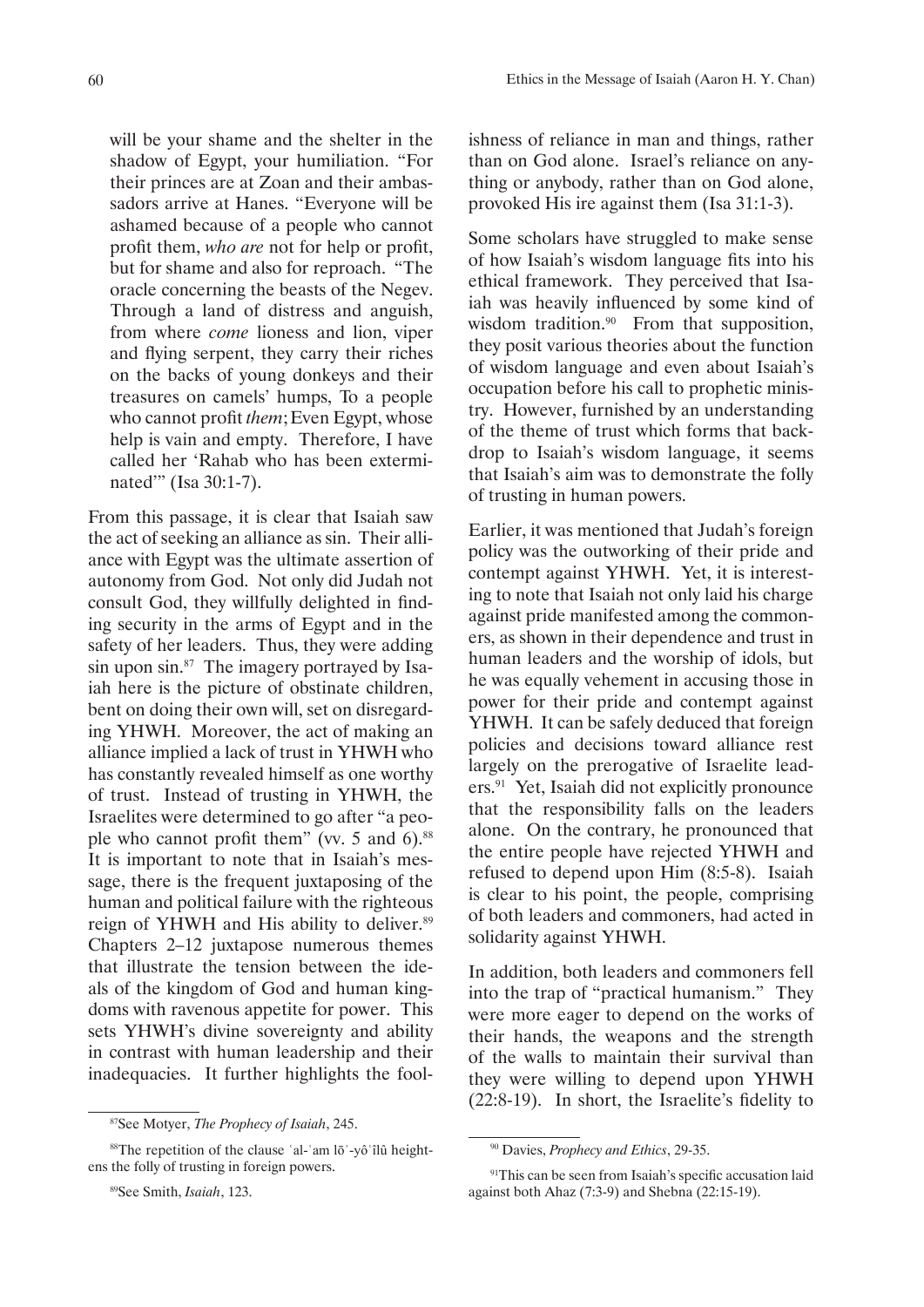will be your shame and the shelter in the shadow of Egypt, your humiliation. "For their princes are at Zoan and their ambassadors arrive at Hanes. "Everyone will be ashamed because of a people who cannot profit them, *who are* not for help or profit, but for shame and also for reproach. "The oracle concerning the beasts of the Negev. Through a land of distress and anguish, from where *come* lioness and lion, viper and flying serpent, they carry their riches on the backs of young donkeys and their treasures on camels' humps, To a people who cannot profit *them*; Even Egypt, whose help is vain and empty. Therefore, I have called her 'Rahab who has been exterminated"" (Isa 30:1-7).

From this passage, it is clear that Isaiah saw the act of seeking an alliance as sin. Their alliance with Egypt was the ultimate assertion of autonomy from God. Not only did Judah not consult God, they willfully delighted in finding security in the arms of Egypt and in the safety of her leaders. Thus, they were adding sin upon sin.<sup>87</sup> The imagery portrayed by Isaiah here is the picture of obstinate children, bent on doing their own will, set on disregarding YHWH. Moreover, the act of making an alliance implied a lack of trust in YHWH who has constantly revealed himself as one worthy of trust. Instead of trusting in YHWH, the Israelites were determined to go after "a people who cannot profit them" (vv.  $5$  and  $6$ ).<sup>88</sup> It is important to note that in Isaiah's message, there is the frequent juxtaposing of the human and political failure with the righteous reign of YHWH and His ability to deliver.<sup>89</sup> Chapters 2–12 juxtapose numerous themes that illustrate the tension between the ideals of the kingdom of God and human kingdoms with ravenous appetite for power. This sets YHWH's divine sovereignty and ability in contrast with human leadership and their inadequacies. It further highlights the foolishness of reliance in man and things, rather than on God alone. Israel's reliance on anything or anybody, rather than on God alone, provoked His ire against them (Isa 31:1-3).

Some scholars have struggled to make sense of how Isaiah's wisdom language fits into his ethical framework. They perceived that Isaiah was heavily influenced by some kind of wisdom tradition.<sup>90</sup> From that supposition, they posit various theories about the function of wisdom language and even about Isaiah's occupation before his call to prophetic ministry. However, furnished by an understanding of the theme of trust which forms that backdrop to Isaiah's wisdom language, it seems that Isaiah's aim was to demonstrate the folly of trusting in human powers.

Earlier, it was mentioned that Judah's foreign policy was the outworking of their pride and contempt against YHWH. Yet, it is interesting to note that Isaiah not only laid his charge against pride manifested among the commoners, as shown in their dependence and trust in human leaders and the worship of idols, but he was equally vehement in accusing those in power for their pride and contempt against YHWH. It can be safely deduced that foreign policies and decisions toward alliance rest largely on the prerogative of Israelite leaders.91 Yet, Isaiah did not explicitly pronounce that the responsibility falls on the leaders alone. On the contrary, he pronounced that the entire people have rejected YHWH and refused to depend upon Him (8:5-8). Isaiah is clear to his point, the people, comprising of both leaders and commoners, had acted in solidarity against YHWH.

In addition, both leaders and commoners fell into the trap of "practical humanism." They were more eager to depend on the works of their hands, the weapons and the strength of the walls to maintain their survival than they were willing to depend upon YHWH (22:8-19). In short, the Israelite's fidelity to

<sup>87</sup>See Motyer, *The Prophecy of Isaiah*, 245.

<sup>88</sup>The repetition of the clause ʿal-ʿam lōʾ-yôʿîlû heightens the folly of trusting in foreign powers.

<sup>89</sup>See Smith, *Isaiah*, 123.

<sup>90</sup> Davies, *Prophecy and Ethics*, 29-35.

<sup>&</sup>lt;sup>91</sup>This can be seen from Isaiah's specific accusation laid against both Ahaz (7:3-9) and Shebna (22:15-19).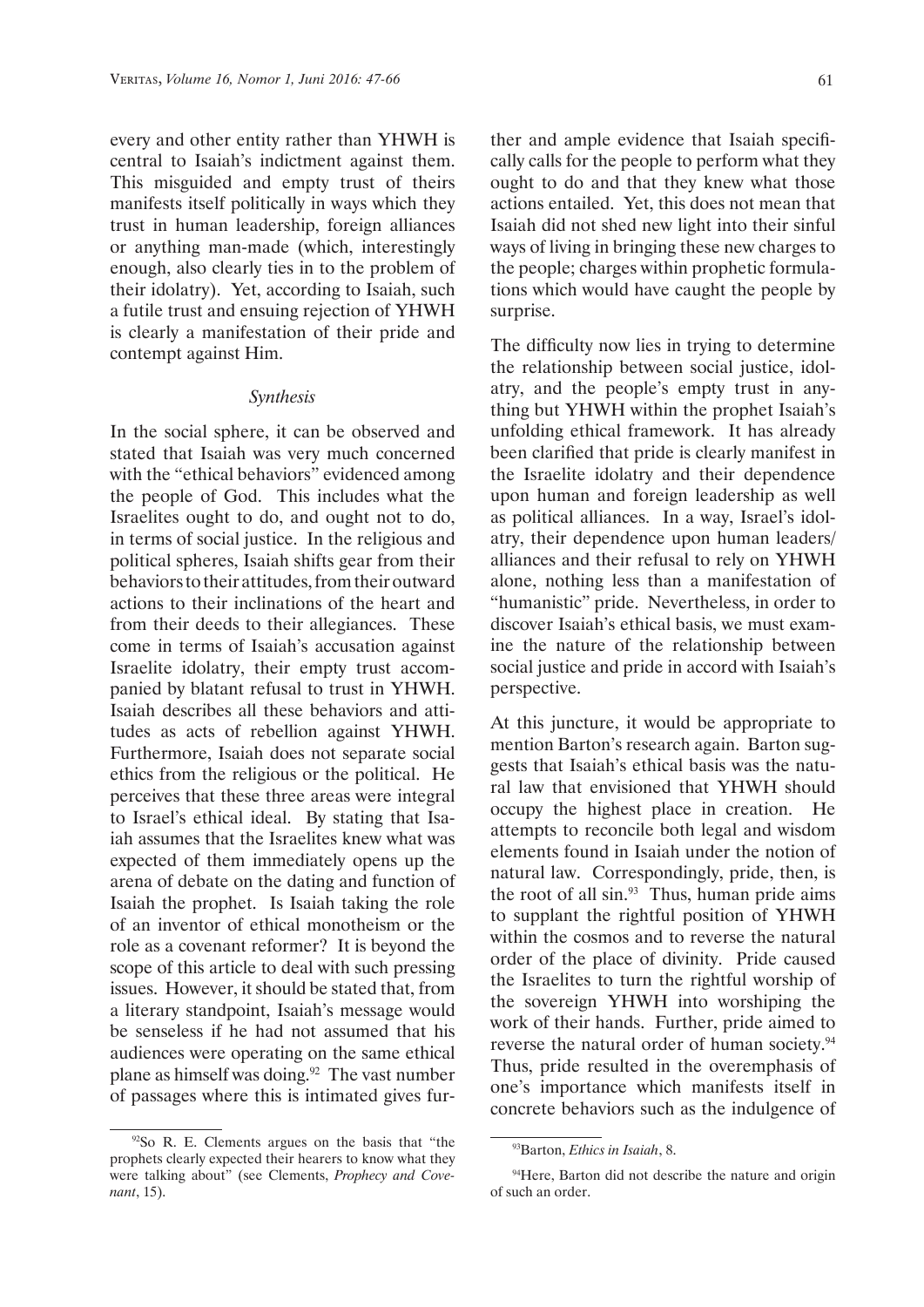every and other entity rather than YHWH is central to Isaiah's indictment against them. This misguided and empty trust of theirs manifests itself politically in ways which they trust in human leadership, foreign alliances or anything man-made (which, interestingly enough, also clearly ties in to the problem of their idolatry). Yet, according to Isaiah, such a futile trust and ensuing rejection of YHWH is clearly a manifestation of their pride and contempt against Him.

#### *Synthesis*

In the social sphere, it can be observed and stated that Isaiah was very much concerned with the "ethical behaviors" evidenced among the people of God. This includes what the Israelites ought to do, and ought not to do, in terms of social justice. In the religious and political spheres, Isaiah shifts gear from their behaviors to their attitudes, from their outward actions to their inclinations of the heart and from their deeds to their allegiances. These come in terms of Isaiah's accusation against Israelite idolatry, their empty trust accompanied by blatant refusal to trust in YHWH. Isaiah describes all these behaviors and attitudes as acts of rebellion against YHWH. Furthermore, Isaiah does not separate social ethics from the religious or the political. He perceives that these three areas were integral to Israel's ethical ideal. By stating that Isaiah assumes that the Israelites knew what was expected of them immediately opens up the arena of debate on the dating and function of Isaiah the prophet. Is Isaiah taking the role of an inventor of ethical monotheism or the role as a covenant reformer? It is beyond the scope of this article to deal with such pressing issues. However, it should be stated that, from a literary standpoint, Isaiah's message would be senseless if he had not assumed that his audiences were operating on the same ethical plane as himself was doing. $92$  The vast number of passages where this is intimated gives further and ample evidence that Isaiah specifically calls for the people to perform what they ought to do and that they knew what those actions entailed. Yet, this does not mean that Isaiah did not shed new light into their sinful ways of living in bringing these new charges to the people; charges within prophetic formulations which would have caught the people by surprise.

The difficulty now lies in trying to determine the relationship between social justice, idolatry, and the people's empty trust in anything but YHWH within the prophet Isaiah's unfolding ethical framework. It has already been clarified that pride is clearly manifest in the Israelite idolatry and their dependence upon human and foreign leadership as well as political alliances. In a way, Israel's idolatry, their dependence upon human leaders/ alliances and their refusal to rely on YHWH alone, nothing less than a manifestation of "humanistic" pride. Nevertheless, in order to discover Isaiah's ethical basis, we must examine the nature of the relationship between social justice and pride in accord with Isaiah's perspective.

At this juncture, it would be appropriate to mention Barton's research again. Barton suggests that Isaiah's ethical basis was the natural law that envisioned that YHWH should occupy the highest place in creation. He attempts to reconcile both legal and wisdom elements found in Isaiah under the notion of natural law. Correspondingly, pride, then, is the root of all sin.93 Thus, human pride aims to supplant the rightful position of YHWH within the cosmos and to reverse the natural order of the place of divinity. Pride caused the Israelites to turn the rightful worship of the sovereign YHWH into worshiping the work of their hands. Further, pride aimed to reverse the natural order of human society.<sup>94</sup> Thus, pride resulted in the overemphasis of one's importance which manifests itself in concrete behaviors such as the indulgence of

<sup>92</sup>So R. E. Clements argues on the basis that "the prophets clearly expected their hearers to know what they were talking about" (see Clements, *Prophecy and Covenant*, 15).

<sup>93</sup>Barton, *Ethics in Isaiah*, 8.

<sup>&</sup>lt;sup>94</sup>Here, Barton did not describe the nature and origin of such an order.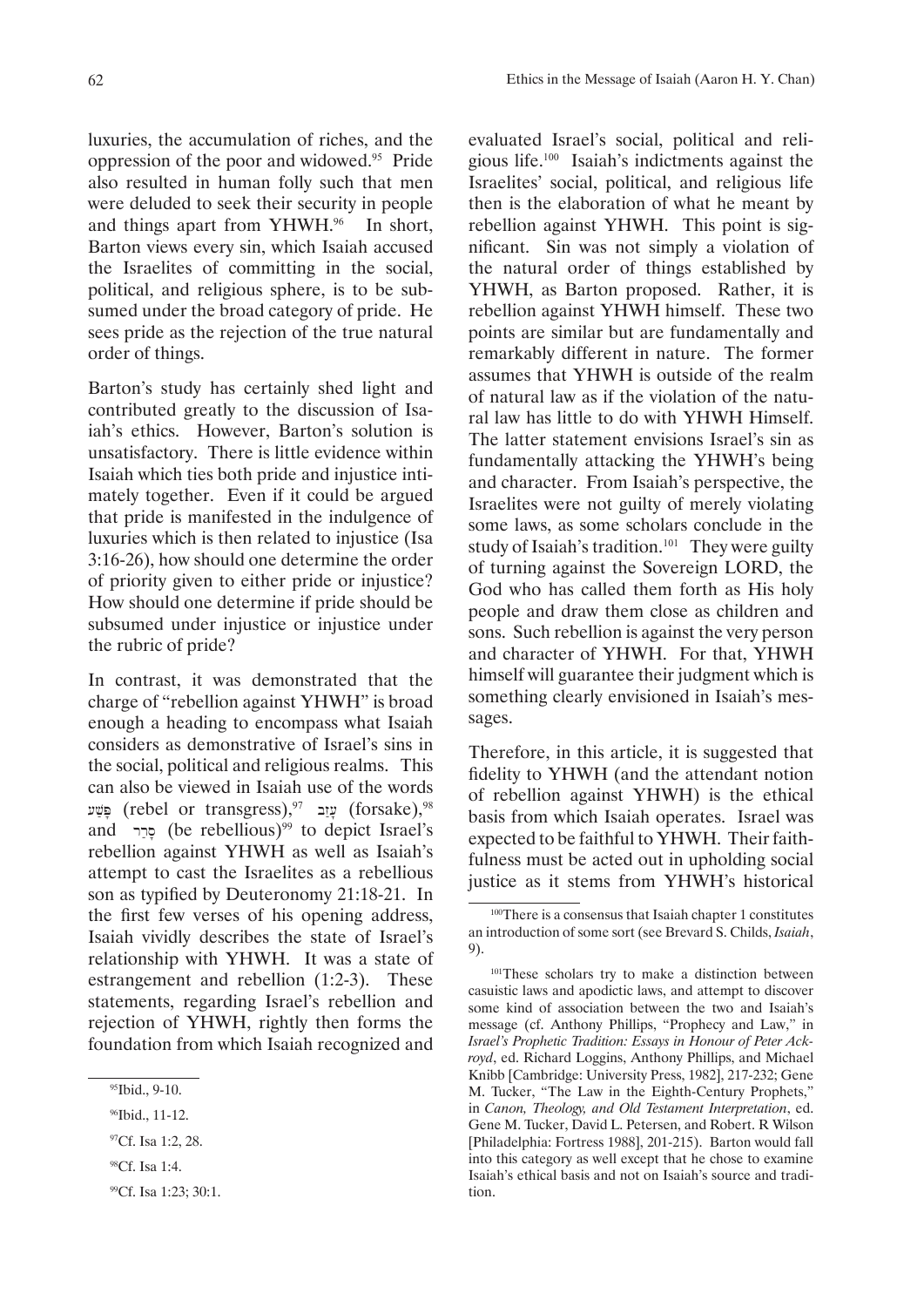luxuries, the accumulation of riches, and the oppression of the poor and widowed.95 Pride also resulted in human folly such that men were deluded to seek their security in people and things apart from YHWH.<sup>96</sup> In short, Barton views every sin, which Isaiah accused the Israelites of committing in the social, political, and religious sphere, is to be subsumed under the broad category of pride. He sees pride as the rejection of the true natural order of things.

Barton's study has certainly shed light and contributed greatly to the discussion of Isaiah's ethics. However, Barton's solution is unsatisfactory. There is little evidence within Isaiah which ties both pride and injustice intimately together. Even if it could be argued that pride is manifested in the indulgence of luxuries which is then related to injustice (Isa 3:16-26), how should one determine the order of priority given to either pride or injustice? How should one determine if pride should be subsumed under injustice or injustice under the rubric of pride?

In contrast, it was demonstrated that the charge of "rebellion against YHWH" is broad enough a heading to encompass what Isaiah considers as demonstrative of Israel's sins in the social, political and religious realms. This can also be viewed in Isaiah use of the words עזָב (rebel or transgress), עזָב (forsake), עזָב  $\,$ and  $\sigma$  or (be rebellious)<sup>99</sup> to depict Israel's rebellion against YHWH as well as Isaiah's attempt to cast the Israelites as a rebellious son as typified by Deuteronomy 21:18-21. In the first few verses of his opening address, Isaiah vividly describes the state of Israel's relationship with YHWH. It was a state of estrangement and rebellion (1:2-3). These statements, regarding Israel's rebellion and rejection of YHWH, rightly then forms the foundation from which Isaiah recognized and

evaluated Israel's social, political and religious life.100 Isaiah's indictments against the Israelites' social, political, and religious life then is the elaboration of what he meant by rebellion against YHWH. This point is significant. Sin was not simply a violation of the natural order of things established by YHWH, as Barton proposed. Rather, it is rebellion against YHWH himself. These two points are similar but are fundamentally and remarkably different in nature. The former assumes that YHWH is outside of the realm of natural law as if the violation of the natural law has little to do with YHWH Himself. The latter statement envisions Israel's sin as fundamentally attacking the YHWH's being and character. From Isaiah's perspective, the Israelites were not guilty of merely violating some laws, as some scholars conclude in the study of Isaiah's tradition.<sup>101</sup> They were guilty of turning against the Sovereign LORD, the God who has called them forth as His holy people and draw them close as children and sons. Such rebellion is against the very person and character of YHWH. For that, YHWH himself will guarantee their judgment which is something clearly envisioned in Isaiah's messages.

Therefore, in this article, it is suggested that fidelity to YHWH (and the attendant notion of rebellion against YHWH) is the ethical basis from which Isaiah operates. Israel was expected to be faithful to YHWH. Their faithfulness must be acted out in upholding social justice as it stems from YHWH's historical

<sup>&</sup>lt;sup>95</sup>Ibid., 9-10.

<sup>&</sup>lt;sup>96</sup>Ibid., 11-12.

<sup>&</sup>lt;sup>97</sup>Cf. Isa 1:2, 28.

<sup>98</sup>Cf. Isa 1:4.

<sup>99</sup>Cf. Isa 1:23; 30:1.

<sup>100</sup>There is a consensus that Isaiah chapter 1 constitutes an introduction of some sort (see Brevard S. Childs, *Isaiah*, 9).

<sup>&</sup>lt;sup>101</sup>These scholars try to make a distinction between casuistic laws and apodictic laws, and attempt to discover some kind of association between the two and Isaiah's message (cf. Anthony Phillips, "Prophecy and Law," in *Israel's Prophetic Tradition: Essays in Honour of Peter Ackroyd*, ed. Richard Loggins, Anthony Phillips, and Michael Knibb [Cambridge: University Press, 1982], 217-232; Gene M. Tucker, "The Law in the Eighth-Century Prophets," in *Canon, Theology, and Old Testament Interpretation*, ed. Gene M. Tucker, David L. Petersen, and Robert. R Wilson [Philadelphia: Fortress 1988], 201-215). Barton would fall into this category as well except that he chose to examine Isaiah's ethical basis and not on Isaiah's source and tradition.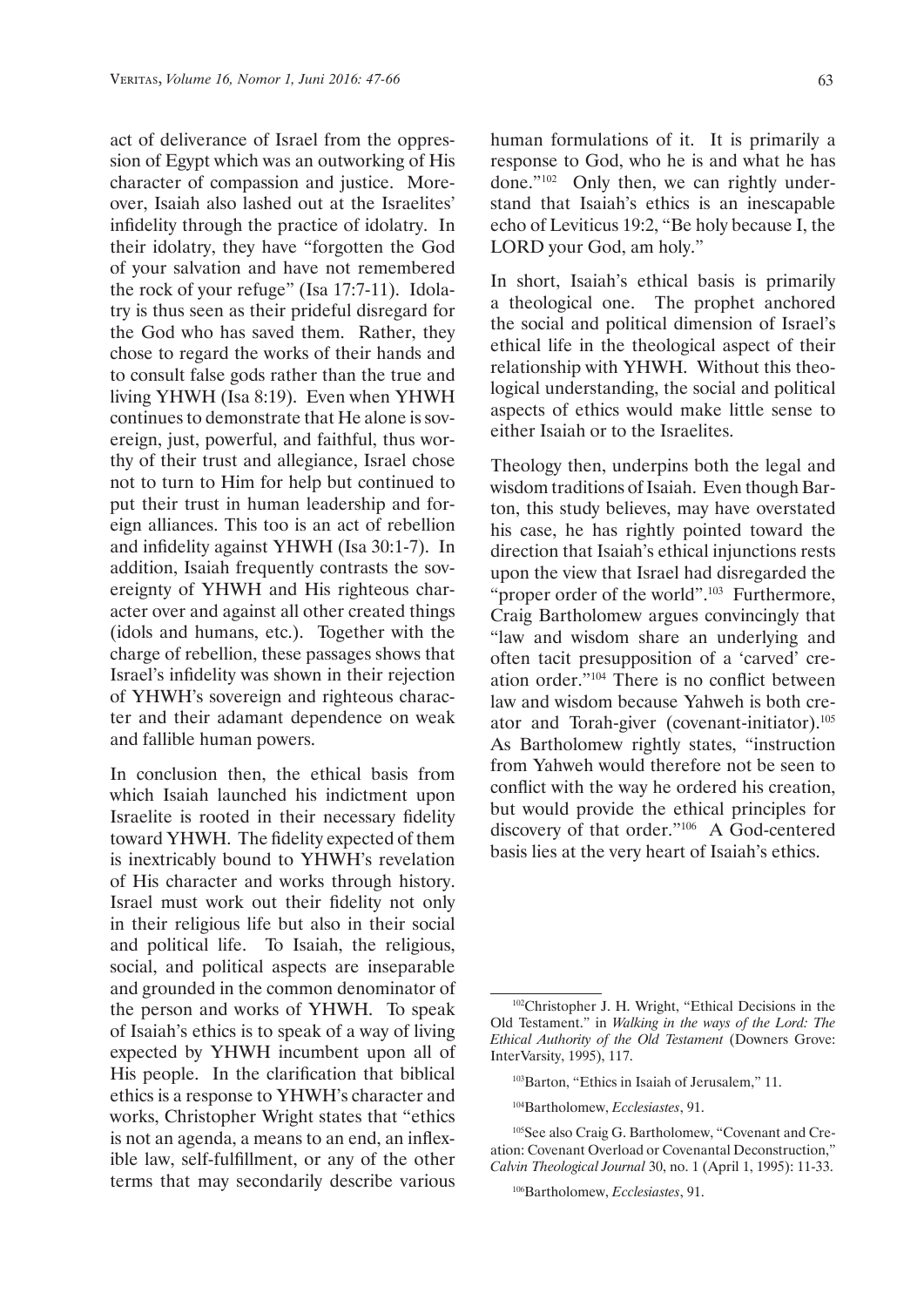act of deliverance of Israel from the oppression of Egypt which was an outworking of His character of compassion and justice. Moreover, Isaiah also lashed out at the Israelites' infidelity through the practice of idolatry. In their idolatry, they have "forgotten the God of your salvation and have not remembered the rock of your refuge" (Isa 17:7-11). Idolatry is thus seen as their prideful disregard for the God who has saved them. Rather, they chose to regard the works of their hands and to consult false gods rather than the true and living YHWH (Isa 8:19). Even when YHWH continues to demonstrate that He alone is sovereign, just, powerful, and faithful, thus worthy of their trust and allegiance, Israel chose not to turn to Him for help but continued to put their trust in human leadership and foreign alliances. This too is an act of rebellion and infidelity against YHWH (Isa 30:1-7). In addition, Isaiah frequently contrasts the sovereignty of YHWH and His righteous character over and against all other created things (idols and humans, etc.). Together with the charge of rebellion, these passages shows that Israel's infidelity was shown in their rejection of YHWH's sovereign and righteous character and their adamant dependence on weak and fallible human powers.

In conclusion then, the ethical basis from which Isaiah launched his indictment upon Israelite is rooted in their necessary fidelity toward YHWH. The fidelity expected of them is inextricably bound to YHWH's revelation of His character and works through history. Israel must work out their fidelity not only in their religious life but also in their social and political life. To Isaiah, the religious, social, and political aspects are inseparable and grounded in the common denominator of the person and works of YHWH. To speak of Isaiah's ethics is to speak of a way of living expected by YHWH incumbent upon all of His people. In the clarification that biblical ethics is a response to YHWH's character and works, Christopher Wright states that "ethics is not an agenda, a means to an end, an inflexible law, self-fulfillment, or any of the other terms that may secondarily describe various

human formulations of it. It is primarily a response to God, who he is and what he has done."102 Only then, we can rightly understand that Isaiah's ethics is an inescapable echo of Leviticus 19:2, "Be holy because I, the LORD your God, am holy."

In short, Isaiah's ethical basis is primarily a theological one. The prophet anchored the social and political dimension of Israel's ethical life in the theological aspect of their relationship with YHWH. Without this theological understanding, the social and political aspects of ethics would make little sense to either Isaiah or to the Israelites.

Theology then, underpins both the legal and wisdom traditions of Isaiah. Even though Barton, this study believes, may have overstated his case, he has rightly pointed toward the direction that Isaiah's ethical injunctions rests upon the view that Israel had disregarded the "proper order of the world".<sup>103</sup> Furthermore, Craig Bartholomew argues convincingly that "law and wisdom share an underlying and often tacit presupposition of a 'carved' creation order."104 There is no conflict between law and wisdom because Yahweh is both creator and Torah-giver (covenant-initiator).105 As Bartholomew rightly states, "instruction from Yahweh would therefore not be seen to conflict with the way he ordered his creation, but would provide the ethical principles for discovery of that order."106 A God-centered basis lies at the very heart of Isaiah's ethics.

<sup>102</sup>Christopher J. H. Wright, "Ethical Decisions in the Old Testament." in *Walking in the ways of the Lord: The Ethical Authority of the Old Testament* (Downers Grove: InterVarsity, 1995), 117.

<sup>103</sup>Barton, "Ethics in Isaiah of Jerusalem," 11.

<sup>104</sup>Bartholomew, *Ecclesiastes*, 91.

<sup>105</sup>See also Craig G. Bartholomew, "Covenant and Creation: Covenant Overload or Covenantal Deconstruction," *Calvin Theological Journal* 30, no. 1 (April 1, 1995): 11-33.

<sup>106</sup>Bartholomew, *Ecclesiastes*, 91.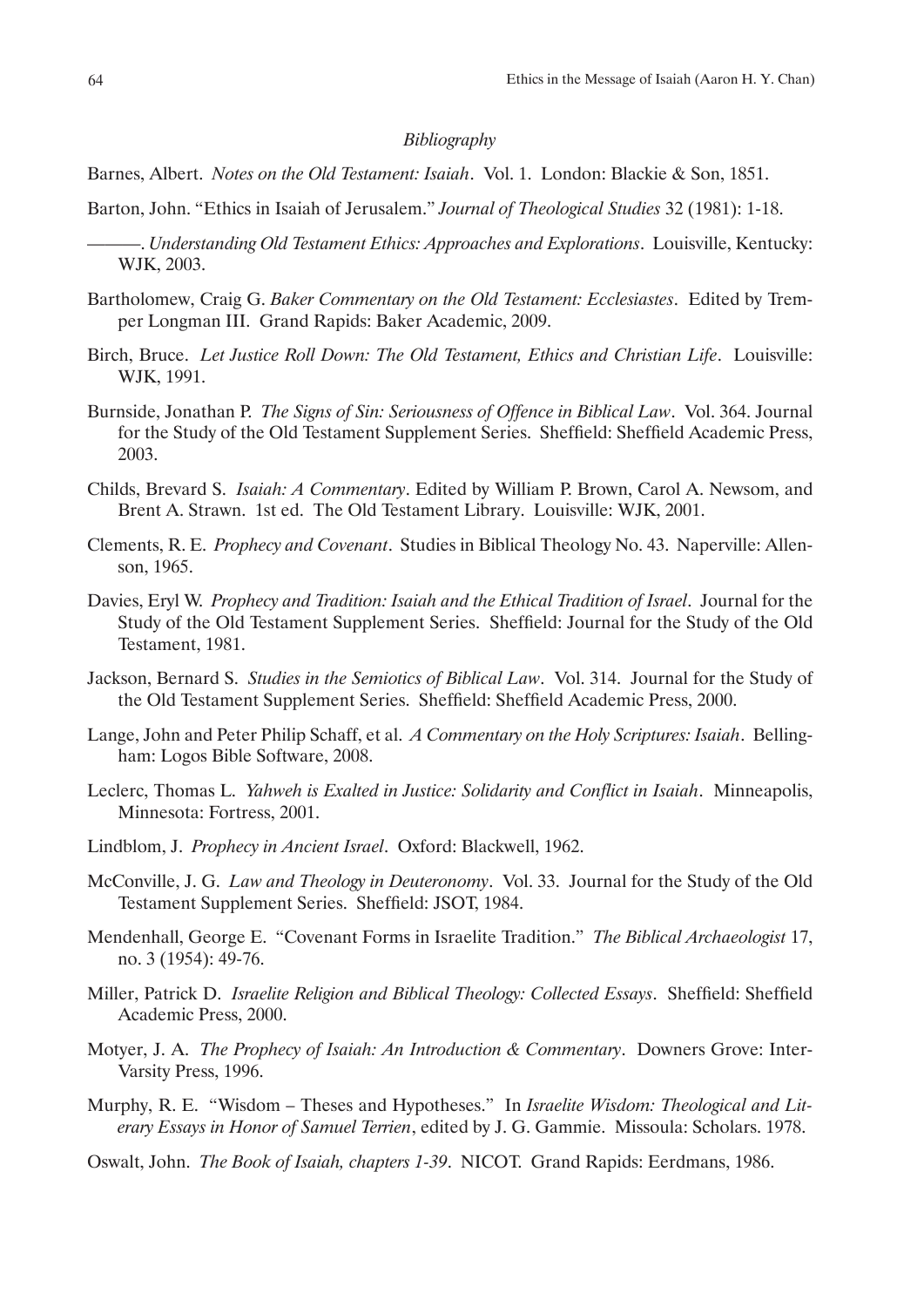### *Bibliography*

Barnes, Albert. *Notes on the Old Testament: Isaiah*. Vol. 1. London: Blackie & Son, 1851.

Barton, John. "Ethics in Isaiah of Jerusalem." *Journal of Theological Studies* 32 (1981): 1-18.

- ———. *Understanding Old Testament Ethics: Approaches and Explorations*. Louisville, Kentucky: WJK, 2003.
- Bartholomew, Craig G. *Baker Commentary on the Old Testament: Ecclesiastes*. Edited by Tremper Longman III. Grand Rapids: Baker Academic, 2009.
- Birch, Bruce. *Let Justice Roll Down: The Old Testament, Ethics and Christian Life*. Louisville: WJK, 1991.
- Burnside, Jonathan P. *The Signs of Sin: Seriousness of Offence in Biblical Law*. Vol. 364. Journal for the Study of the Old Testament Supplement Series. Sheffield: Sheffield Academic Press, 2003.
- Childs, Brevard S. *Isaiah: A Commentary*. Edited by William P. Brown, Carol A. Newsom, and Brent A. Strawn. 1st ed. The Old Testament Library. Louisville: WJK, 2001.
- Clements, R. E. *Prophecy and Covenant*. Studies in Biblical Theology No. 43. Naperville: Allenson, 1965.
- Davies, Eryl W. *Prophecy and Tradition: Isaiah and the Ethical Tradition of Israel*. Journal for the Study of the Old Testament Supplement Series. Sheffield: Journal for the Study of the Old Testament, 1981.
- Jackson, Bernard S. *Studies in the Semiotics of Biblical Law*. Vol. 314. Journal for the Study of the Old Testament Supplement Series. Sheffield: Sheffield Academic Press, 2000.
- Lange, John and Peter Philip Schaff, et al. *A Commentary on the Holy Scriptures: Isaiah*. Bellingham: Logos Bible Software, 2008.
- Leclerc, Thomas L. *Yahweh is Exalted in Justice: Solidarity and Conflict in Isaiah*. Minneapolis, Minnesota: Fortress, 2001.
- Lindblom, J. *Prophecy in Ancient Israel*. Oxford: Blackwell, 1962.
- McConville, J. G. *Law and Theology in Deuteronomy*. Vol. 33. Journal for the Study of the Old Testament Supplement Series. Sheffield: JSOT, 1984.
- Mendenhall, George E. "Covenant Forms in Israelite Tradition." *The Biblical Archaeologist* 17, no. 3 (1954): 49-76.
- Miller, Patrick D. *Israelite Religion and Biblical Theology: Collected Essays*. Sheffield: Sheffield Academic Press, 2000.
- Motyer, J. A. *The Prophecy of Isaiah: An Introduction & Commentary*. Downers Grove: Inter-Varsity Press, 1996.
- Murphy, R. E. "Wisdom Theses and Hypotheses." In *Israelite Wisdom: Theological and Literary Essays in Honor of Samuel Terrien*, edited by J. G. Gammie. Missoula: Scholars. 1978.
- Oswalt, John. *The Book of Isaiah, chapters 1-39*. NICOT. Grand Rapids: Eerdmans, 1986.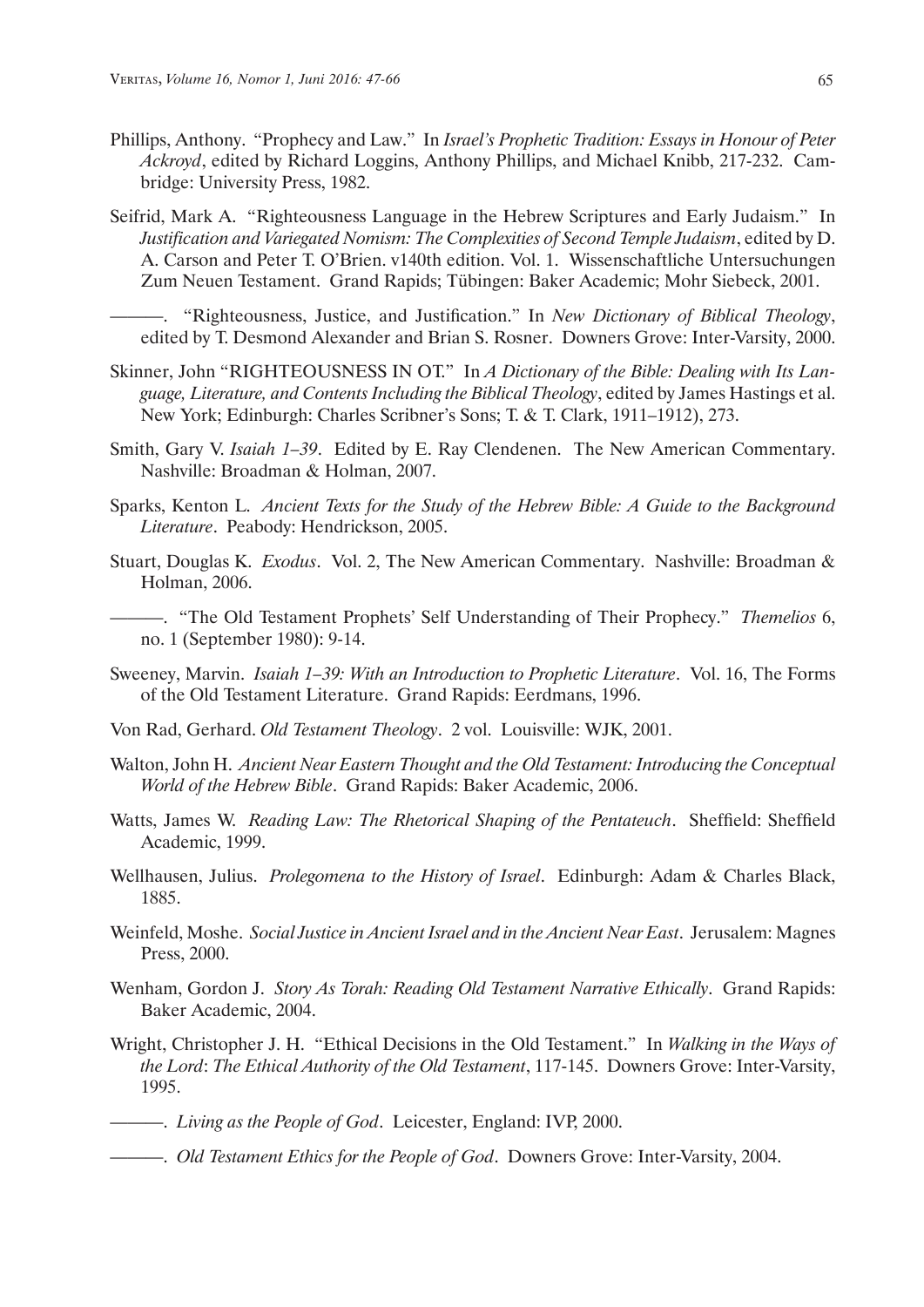- Phillips, Anthony. "Prophecy and Law." In *Israel's Prophetic Tradition: Essays in Honour of Peter Ackroyd*, edited by Richard Loggins, Anthony Phillips, and Michael Knibb, 217-232. Cambridge: University Press, 1982.
- Seifrid, Mark A. "Righteousness Language in the Hebrew Scriptures and Early Judaism." In *Justification and Variegated Nomism: The Complexities of Second Temple Judaism*, edited by D. A. Carson and Peter T. O'Brien. v140th edition. Vol. 1. Wissenschaftliche Untersuchungen Zum Neuen Testament. Grand Rapids; Tübingen: Baker Academic; Mohr Siebeck, 2001.

———. "Righteousness, Justice, and Justification." In *New Dictionary of Biblical Theology*, edited by T. Desmond Alexander and Brian S. Rosner. Downers Grove: Inter-Varsity, 2000.

- Skinner, John "RIGHTEOUSNESS IN OT." In *A Dictionary of the Bible: Dealing with Its Language, Literature, and Contents Including the Biblical Theology*, edited by James Hastings et al. New York; Edinburgh: Charles Scribner's Sons; T. & T. Clark, 1911–1912), 273.
- Smith, Gary V. *Isaiah 1–39*. Edited by E. Ray Clendenen. The New American Commentary. Nashville: Broadman & Holman, 2007.
- Sparks, Kenton L. *Ancient Texts for the Study of the Hebrew Bible: A Guide to the Background Literature*. Peabody: Hendrickson, 2005.
- Stuart, Douglas K. *Exodus*. Vol. 2, The New American Commentary. Nashville: Broadman & Holman, 2006.
- ———. "The Old Testament Prophets' Self Understanding of Their Prophecy." *Themelios* 6, no. 1 (September 1980): 9-14.
- Sweeney, Marvin. *Isaiah 1–39: With an Introduction to Prophetic Literature*. Vol. 16, The Forms of the Old Testament Literature. Grand Rapids: Eerdmans, 1996.
- Von Rad, Gerhard. *Old Testament Theology*. 2 vol. Louisville: WJK, 2001.
- Walton, John H. *Ancient Near Eastern Thought and the Old Testament: Introducing the Conceptual World of the Hebrew Bible*. Grand Rapids: Baker Academic, 2006.
- Watts, James W. *Reading Law: The Rhetorical Shaping of the Pentateuch*. Sheffield: Sheffield Academic, 1999.
- Wellhausen, Julius. *Prolegomena to the History of Israel*. Edinburgh: Adam & Charles Black, 1885.
- Weinfeld, Moshe. *Social Justice in Ancient Israel and in the Ancient Near East*. Jerusalem: Magnes Press, 2000.
- Wenham, Gordon J. *Story As Torah: Reading Old Testament Narrative Ethically*. Grand Rapids: Baker Academic, 2004.
- Wright, Christopher J. H. "Ethical Decisions in the Old Testament." In *Walking in the Ways of the Lord*: *The Ethical Authority of the Old Testament*, 117-145. Downers Grove: Inter-Varsity, 1995.
- ———. *Living as the People of God*. Leicester, England: IVP, 2000.
- ———. *Old Testament Ethics for the People of God*. Downers Grove: Inter-Varsity, 2004.